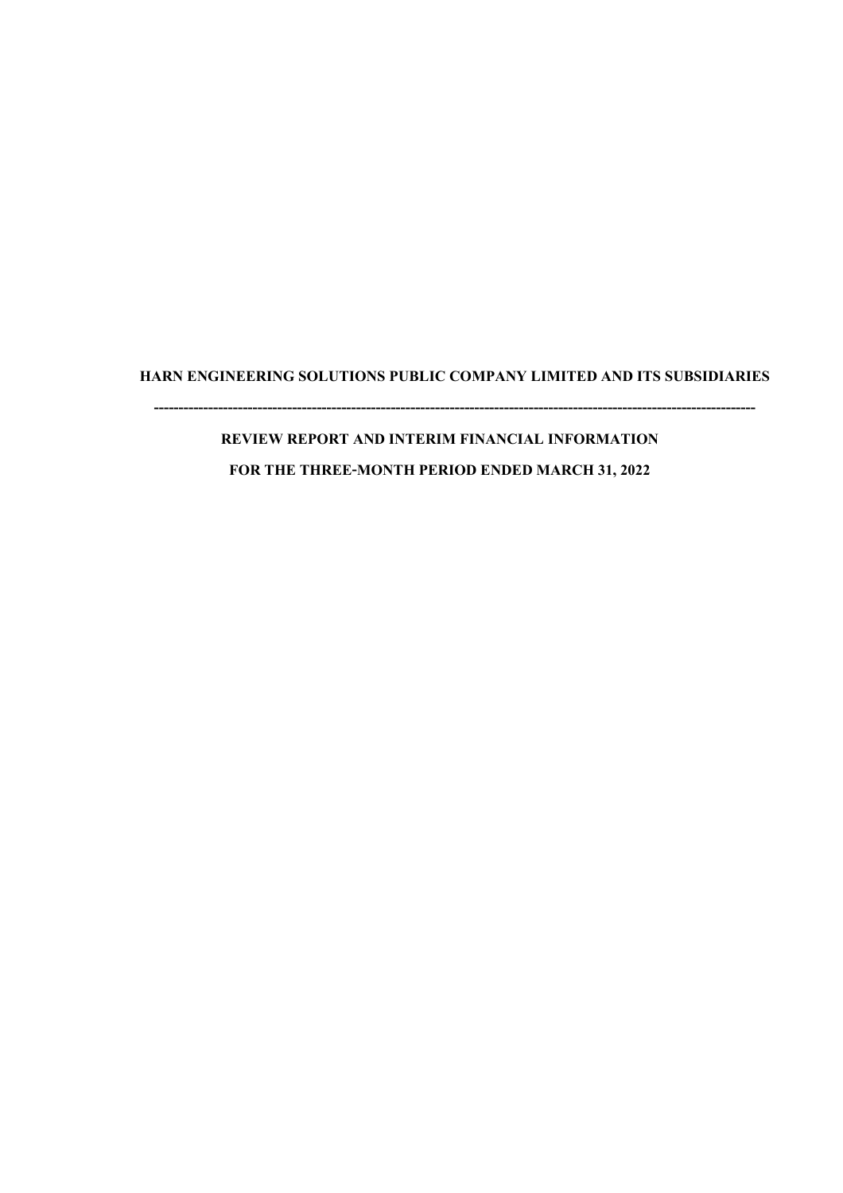### **HARN ENGINEERING SOLUTIONS PUBLIC COMPANY LIMITED AND ITS SUBSIDIARIES**

**--------------------------------------------------------------------------------------------------------------------------** 

# **REVIEW REPORT AND INTERIM FINANCIAL INFORMATION FOR THE THREE-MONTH PERIOD ENDED MARCH 31, 2022**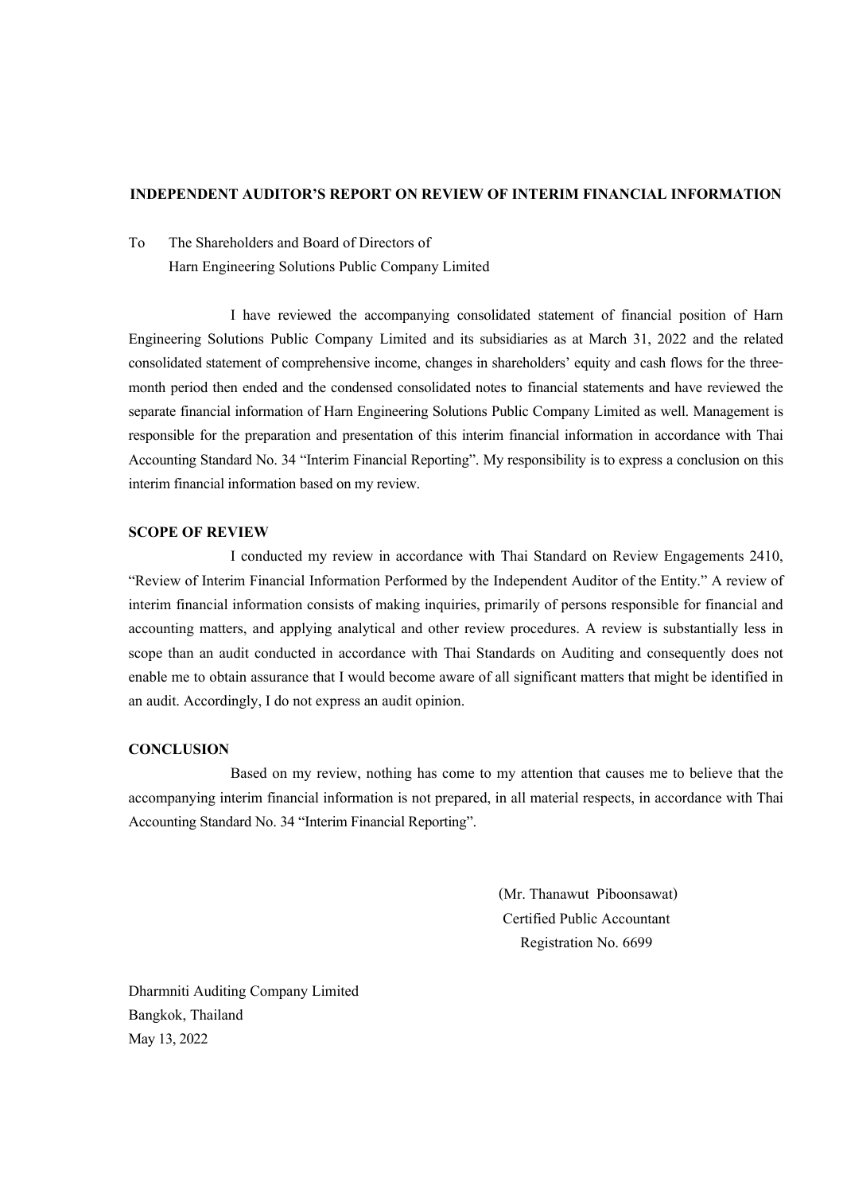#### **INDEPENDENT AUDITOR'S REPORT ON REVIEW OF INTERIM FINANCIAL INFORMATION**

#### To The Shareholders and Board of Directors of

Harn Engineering Solutions Public Company Limited

 I have reviewed the accompanying consolidated statement of financial position of Harn Engineering Solutions Public Company Limited and its subsidiaries as at March 31, 2022 and the related consolidated statement of comprehensive income, changes in shareholders' equity and cash flows for the threemonth period then ended and the condensed consolidated notes to financial statements and have reviewed the separate financial information of Harn Engineering Solutions Public Company Limited as well. Management is responsible for the preparation and presentation of this interim financial information in accordance with Thai Accounting Standard No. 34 "Interim Financial Reporting". My responsibility is to express a conclusion on this interim financial information based on my review.

#### **SCOPE OF REVIEW**

 I conducted my review in accordance with Thai Standard on Review Engagements 2410, "Review of Interim Financial Information Performed by the Independent Auditor of the Entity." A review of interim financial information consists of making inquiries, primarily of persons responsible for financial and accounting matters, and applying analytical and other review procedures. A review is substantially less in scope than an audit conducted in accordance with Thai Standards on Auditing and consequently does not enable me to obtain assurance that I would become aware of all significant matters that might be identified in an audit. Accordingly, I do not express an audit opinion.

#### **CONCLUSION**

 Based on my review, nothing has come to my attention that causes me to believe that the accompanying interim financial information is not prepared, in all material respects, in accordance with Thai Accounting Standard No. 34 "Interim Financial Reporting".

> (Mr. Thanawut Piboonsawat) Certified Public Accountant Registration No. 6699

Dharmniti Auditing Company Limited Bangkok, Thailand May 13, 2022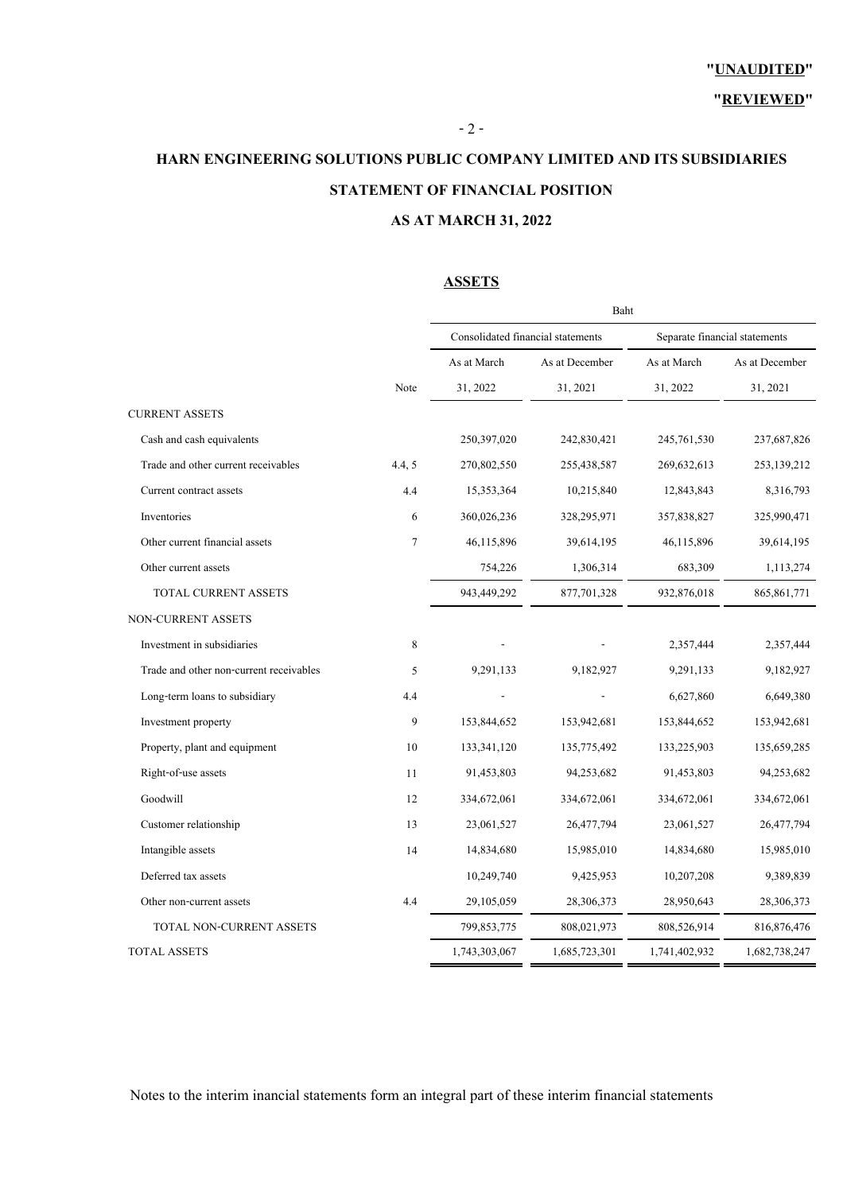# **HARN ENGINEERING SOLUTIONS PUBLIC COMPANY LIMITED AND ITS SUBSIDIARIES STATEMENT OF FINANCIAL POSITION**

- 2 -

#### **AS AT MARCH 31, 2022**

#### **ASSETS**

|                                         |                | Baht                              |                |                               |                |  |  |
|-----------------------------------------|----------------|-----------------------------------|----------------|-------------------------------|----------------|--|--|
|                                         |                | Consolidated financial statements |                | Separate financial statements |                |  |  |
|                                         |                | As at March                       | As at December | As at March                   | As at December |  |  |
|                                         | Note           | 31, 2022                          | 31, 2021       | 31, 2022                      | 31, 2021       |  |  |
| <b>CURRENT ASSETS</b>                   |                |                                   |                |                               |                |  |  |
| Cash and cash equivalents               |                | 250,397,020                       | 242,830,421    | 245,761,530                   | 237,687,826    |  |  |
| Trade and other current receivables     | 4.4, 5         | 270,802,550                       | 255,438,587    | 269,632,613                   | 253,139,212    |  |  |
| Current contract assets                 | 4.4            | 15,353,364                        | 10,215,840     | 12,843,843                    | 8,316,793      |  |  |
| Inventories                             | 6              | 360,026,236                       | 328,295,971    | 357,838,827                   | 325,990,471    |  |  |
| Other current financial assets          | $\overline{7}$ | 46,115,896                        | 39,614,195     | 46,115,896                    | 39,614,195     |  |  |
| Other current assets                    |                | 754,226                           | 1,306,314      | 683,309                       | 1,113,274      |  |  |
| TOTAL CURRENT ASSETS                    |                | 943,449,292                       | 877,701,328    | 932,876,018                   | 865, 861, 771  |  |  |
| NON-CURRENT ASSETS                      |                |                                   |                |                               |                |  |  |
| Investment in subsidiaries              | 8              |                                   |                | 2,357,444                     | 2,357,444      |  |  |
| Trade and other non-current receivables | 5              | 9,291,133                         | 9,182,927      | 9,291,133                     | 9,182,927      |  |  |
| Long-term loans to subsidiary           | 4.4            |                                   |                | 6,627,860                     | 6,649,380      |  |  |
| Investment property                     | 9              | 153,844,652                       | 153,942,681    | 153,844,652                   | 153,942,681    |  |  |
| Property, plant and equipment           | 10             | 133, 341, 120                     | 135,775,492    | 133,225,903                   | 135,659,285    |  |  |
| Right-of-use assets                     | 11             | 91,453,803                        | 94,253,682     | 91,453,803                    | 94,253,682     |  |  |
| Goodwill                                | 12             | 334,672,061                       | 334,672,061    | 334,672,061                   | 334,672,061    |  |  |
| Customer relationship                   | 13             | 23,061,527                        | 26,477,794     | 23,061,527                    | 26,477,794     |  |  |
| Intangible assets                       | 14             | 14,834,680                        | 15,985,010     | 14,834,680                    | 15,985,010     |  |  |
| Deferred tax assets                     |                | 10,249,740                        | 9,425,953      | 10,207,208                    | 9,389,839      |  |  |
| Other non-current assets                | 4.4            | 29,105,059                        | 28,306,373     | 28,950,643                    | 28,306,373     |  |  |
| TOTAL NON-CURRENT ASSETS                |                | 799,853,775                       | 808,021,973    | 808,526,914                   | 816, 876, 476  |  |  |
| TOTAL ASSETS                            |                | 1,743,303,067                     | 1,685,723,301  | 1,741,402,932                 | 1,682,738,247  |  |  |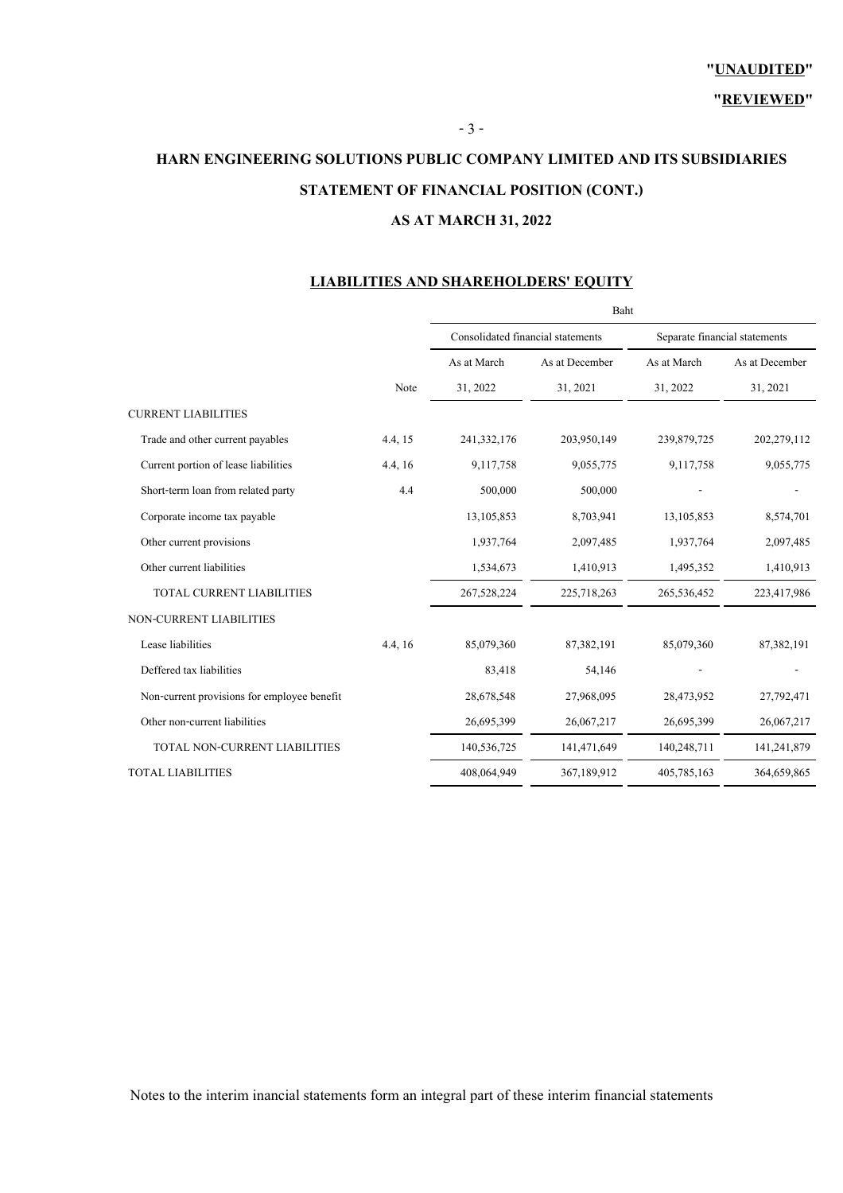# **HARN ENGINEERING SOLUTIONS PUBLIC COMPANY LIMITED AND ITS SUBSIDIARIES STATEMENT OF FINANCIAL POSITION (CONT.)**

- 3 -

#### **AS AT MARCH 31, 2022**

#### **LIABILITIES AND SHAREHOLDERS' EQUITY**

|                                             |         | Baht                              |                |             |                               |  |  |  |
|---------------------------------------------|---------|-----------------------------------|----------------|-------------|-------------------------------|--|--|--|
|                                             |         | Consolidated financial statements |                |             | Separate financial statements |  |  |  |
|                                             |         | As at March                       | As at December | As at March | As at December                |  |  |  |
|                                             | Note    | 31, 2022                          | 31, 2021       | 31, 2022    | 31, 2021                      |  |  |  |
| <b>CURRENT LIABILITIES</b>                  |         |                                   |                |             |                               |  |  |  |
| Trade and other current payables            | 4.4, 15 | 241,332,176                       | 203,950,149    | 239,879,725 | 202,279,112                   |  |  |  |
| Current portion of lease liabilities        | 4.4, 16 | 9,117,758                         | 9,055,775      | 9,117,758   | 9,055,775                     |  |  |  |
| Short-term loan from related party          | 4.4     | 500,000                           | 500,000        |             |                               |  |  |  |
| Corporate income tax payable                |         | 13,105,853                        | 8,703,941      | 13,105,853  | 8,574,701                     |  |  |  |
| Other current provisions                    |         | 1,937,764                         | 2,097,485      | 1,937,764   | 2,097,485                     |  |  |  |
| Other current liabilities                   |         | 1,534,673                         | 1,410,913      | 1,495,352   | 1,410,913                     |  |  |  |
| TOTAL CURRENT LIABILITIES                   |         | 267,528,224                       | 225,718,263    | 265,536,452 | 223,417,986                   |  |  |  |
| <b>NON-CURRENT LIABILITIES</b>              |         |                                   |                |             |                               |  |  |  |
| Lease liabilities                           | 4.4, 16 | 85,079,360                        | 87,382,191     | 85,079,360  | 87,382,191                    |  |  |  |
| Deffered tax liabilities                    |         | 83,418                            | 54,146         |             |                               |  |  |  |
| Non-current provisions for employee benefit |         | 28,678,548                        | 27,968,095     | 28,473,952  | 27,792,471                    |  |  |  |
| Other non-current liabilities               |         | 26,695,399                        | 26,067,217     | 26,695,399  | 26,067,217                    |  |  |  |
| TOTAL NON-CURRENT LIABILITIES               |         | 140,536,725                       | 141,471,649    | 140,248,711 | 141,241,879                   |  |  |  |
| <b>TOTAL LIABILITIES</b>                    |         | 408,064,949                       | 367,189,912    | 405,785,163 | 364,659,865                   |  |  |  |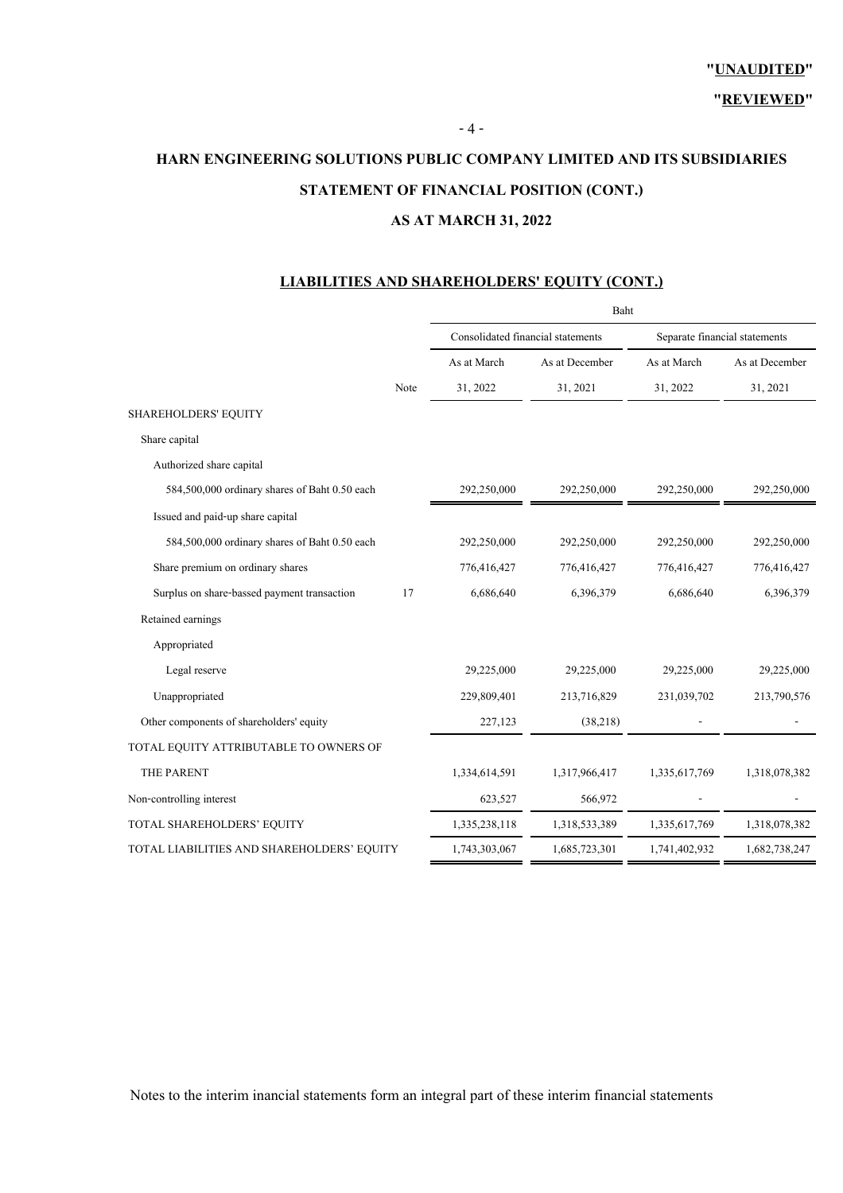# **STATEMENT OF FINANCIAL POSITION (CONT.) HARN ENGINEERING SOLUTIONS PUBLIC COMPANY LIMITED AND ITS SUBSIDIARIES**

- 4 -

#### **AS AT MARCH 31, 2022**

#### **LIABILITIES AND SHAREHOLDERS' EQUITY (CONT.)**

|                                                   | Baht                              |                |                               |                |  |  |  |
|---------------------------------------------------|-----------------------------------|----------------|-------------------------------|----------------|--|--|--|
|                                                   | Consolidated financial statements |                | Separate financial statements |                |  |  |  |
|                                                   | As at March                       | As at December | As at March                   | As at December |  |  |  |
| Note                                              | 31, 2022                          | 31, 2021       | 31, 2022                      | 31, 2021       |  |  |  |
| SHAREHOLDERS' EQUITY                              |                                   |                |                               |                |  |  |  |
| Share capital                                     |                                   |                |                               |                |  |  |  |
| Authorized share capital                          |                                   |                |                               |                |  |  |  |
| 584,500,000 ordinary shares of Baht 0.50 each     | 292,250,000                       | 292,250,000    | 292,250,000                   | 292,250,000    |  |  |  |
| Issued and paid-up share capital                  |                                   |                |                               |                |  |  |  |
| 584,500,000 ordinary shares of Baht 0.50 each     | 292,250,000                       | 292,250,000    | 292,250,000                   | 292,250,000    |  |  |  |
| Share premium on ordinary shares                  | 776,416,427                       | 776,416,427    | 776,416,427                   | 776,416,427    |  |  |  |
| Surplus on share-bassed payment transaction<br>17 | 6,686,640                         | 6,396,379      | 6,686,640                     | 6,396,379      |  |  |  |
| Retained earnings                                 |                                   |                |                               |                |  |  |  |
| Appropriated                                      |                                   |                |                               |                |  |  |  |
| Legal reserve                                     | 29,225,000                        | 29,225,000     | 29,225,000                    | 29,225,000     |  |  |  |
| Unappropriated                                    | 229,809,401                       | 213,716,829    | 231,039,702                   | 213,790,576    |  |  |  |
| Other components of shareholders' equity          | 227,123                           | (38,218)       |                               |                |  |  |  |
| TOTAL EQUITY ATTRIBUTABLE TO OWNERS OF            |                                   |                |                               |                |  |  |  |
| THE PARENT                                        | 1,334,614,591                     | 1,317,966,417  | 1,335,617,769                 | 1,318,078,382  |  |  |  |
| Non-controlling interest                          | 623,527                           | 566,972        |                               |                |  |  |  |
| TOTAL SHAREHOLDERS' EQUITY                        | 1,335,238,118                     | 1,318,533,389  | 1,335,617,769                 | 1,318,078,382  |  |  |  |
| TOTAL LIABILITIES AND SHAREHOLDERS' EQUITY        | 1,743,303,067                     | 1,685,723,301  | 1,741,402,932                 | 1,682,738,247  |  |  |  |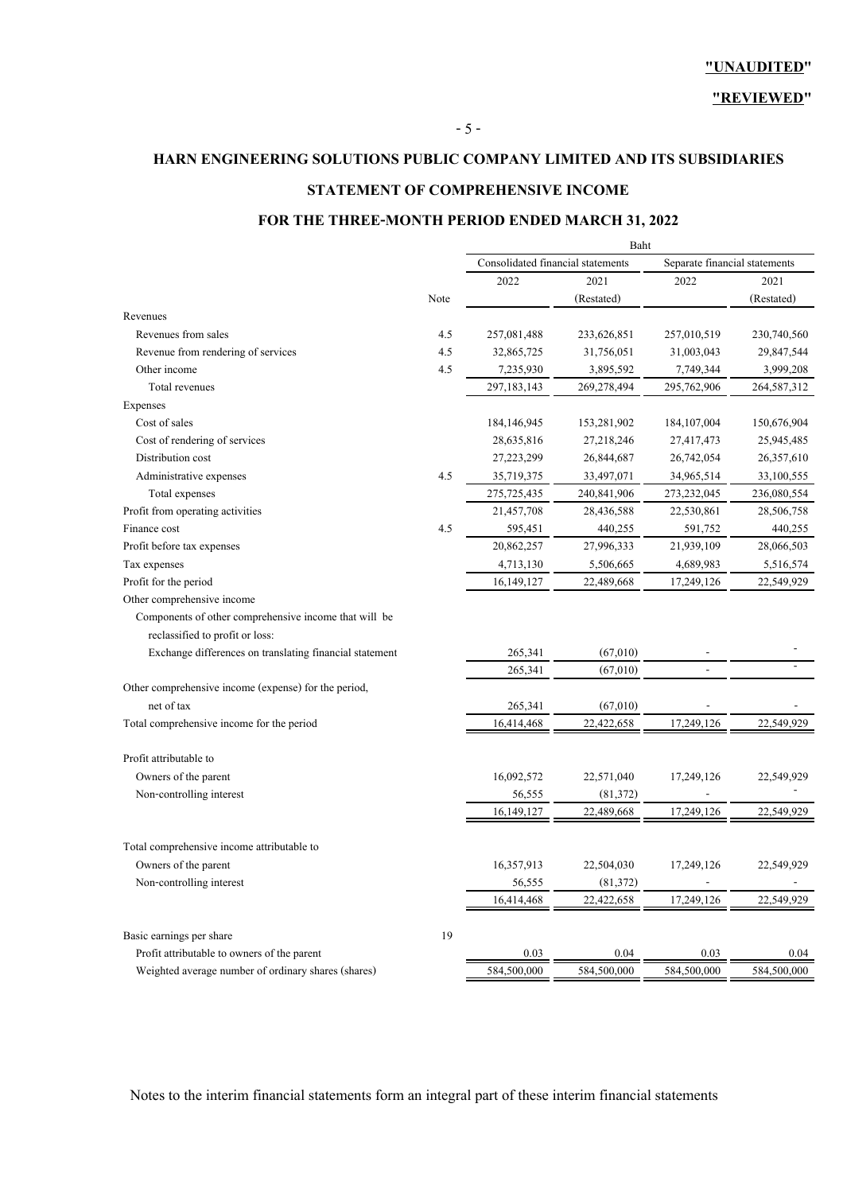**"REVIEWED"**

#### **HARN ENGINEERING SOLUTIONS PUBLIC COMPANY LIMITED AND ITS SUBSIDIARIES**

#### **STATEMENT OF COMPREHENSIVE INCOME**

#### **FOR THE THREE-MONTH PERIOD ENDED MARCH 31, 2022**

|                                                         | Baht |                                   |             |                               |             |  |  |
|---------------------------------------------------------|------|-----------------------------------|-------------|-------------------------------|-------------|--|--|
|                                                         |      | Consolidated financial statements |             | Separate financial statements |             |  |  |
|                                                         |      | 2022                              | 2021        | 2022                          | 2021        |  |  |
|                                                         | Note |                                   | (Restated)  |                               | (Restated)  |  |  |
| Revenues                                                |      |                                   |             |                               |             |  |  |
| Revenues from sales                                     | 4.5  | 257,081,488                       | 233,626,851 | 257,010,519                   | 230,740,560 |  |  |
| Revenue from rendering of services                      | 4.5  | 32,865,725                        | 31,756,051  | 31,003,043                    | 29,847,544  |  |  |
| Other income                                            | 4.5  | 7,235,930                         | 3,895,592   | 7,749,344                     | 3,999,208   |  |  |
| Total revenues                                          |      | 297,183,143                       | 269,278,494 | 295,762,906                   | 264,587,312 |  |  |
| Expenses                                                |      |                                   |             |                               |             |  |  |
| Cost of sales                                           |      | 184,146,945                       | 153,281,902 | 184, 107, 004                 | 150,676,904 |  |  |
| Cost of rendering of services                           |      | 28,635,816                        | 27,218,246  | 27,417,473                    | 25,945,485  |  |  |
| Distribution cost                                       |      | 27,223,299                        | 26,844,687  | 26,742,054                    | 26,357,610  |  |  |
| Administrative expenses                                 | 4.5  | 35,719,375                        | 33,497,071  | 34,965,514                    | 33,100,555  |  |  |
| Total expenses                                          |      | 275,725,435                       | 240,841,906 | 273, 232, 045                 | 236,080,554 |  |  |
| Profit from operating activities                        |      | 21,457,708                        | 28,436,588  | 22,530,861                    | 28,506,758  |  |  |
| Finance cost                                            | 4.5  | 595,451                           | 440,255     | 591,752                       | 440,255     |  |  |
| Profit before tax expenses                              |      | 20,862,257                        | 27,996,333  | 21,939,109                    | 28,066,503  |  |  |
| Tax expenses                                            |      | 4,713,130                         | 5,506,665   | 4,689,983                     | 5,516,574   |  |  |
| Profit for the period                                   |      | 16,149,127                        | 22,489,668  | 17,249,126                    | 22,549,929  |  |  |
| Other comprehensive income                              |      |                                   |             |                               |             |  |  |
| Components of other comprehensive income that will be   |      |                                   |             |                               |             |  |  |
| reclassified to profit or loss:                         |      |                                   |             |                               |             |  |  |
| Exchange differences on translating financial statement |      | 265,341                           | (67,010)    |                               |             |  |  |
|                                                         |      | 265,341                           | (67,010)    |                               |             |  |  |
| Other comprehensive income (expense) for the period,    |      |                                   |             |                               |             |  |  |
| net of tax                                              |      | 265,341                           | (67,010)    |                               |             |  |  |
| Total comprehensive income for the period               |      | 16,414,468                        | 22,422,658  | 17,249,126                    | 22,549,929  |  |  |
| Profit attributable to                                  |      |                                   |             |                               |             |  |  |
| Owners of the parent                                    |      | 16,092,572                        | 22,571,040  | 17,249,126                    | 22,549,929  |  |  |
| Non-controlling interest                                |      | 56,555                            | (81, 372)   |                               |             |  |  |
|                                                         |      | 16,149,127                        | 22,489,668  | 17,249,126                    | 22,549,929  |  |  |
| Total comprehensive income attributable to              |      |                                   |             |                               |             |  |  |
| Owners of the parent                                    |      | 16,357,913                        | 22,504,030  | 17,249,126                    | 22,549,929  |  |  |
| Non-controlling interest                                |      | 56,555                            | (81, 372)   | $\overline{a}$                |             |  |  |
|                                                         |      | 16,414,468                        | 22,422,658  | 17,249,126                    | 22,549,929  |  |  |
| Basic earnings per share                                | 19   |                                   |             |                               |             |  |  |
| Profit attributable to owners of the parent             |      | 0.03                              | 0.04        | 0.03                          | 0.04        |  |  |
| Weighted average number of ordinary shares (shares)     |      | 584,500,000                       | 584,500,000 | 584,500,000                   | 584,500,000 |  |  |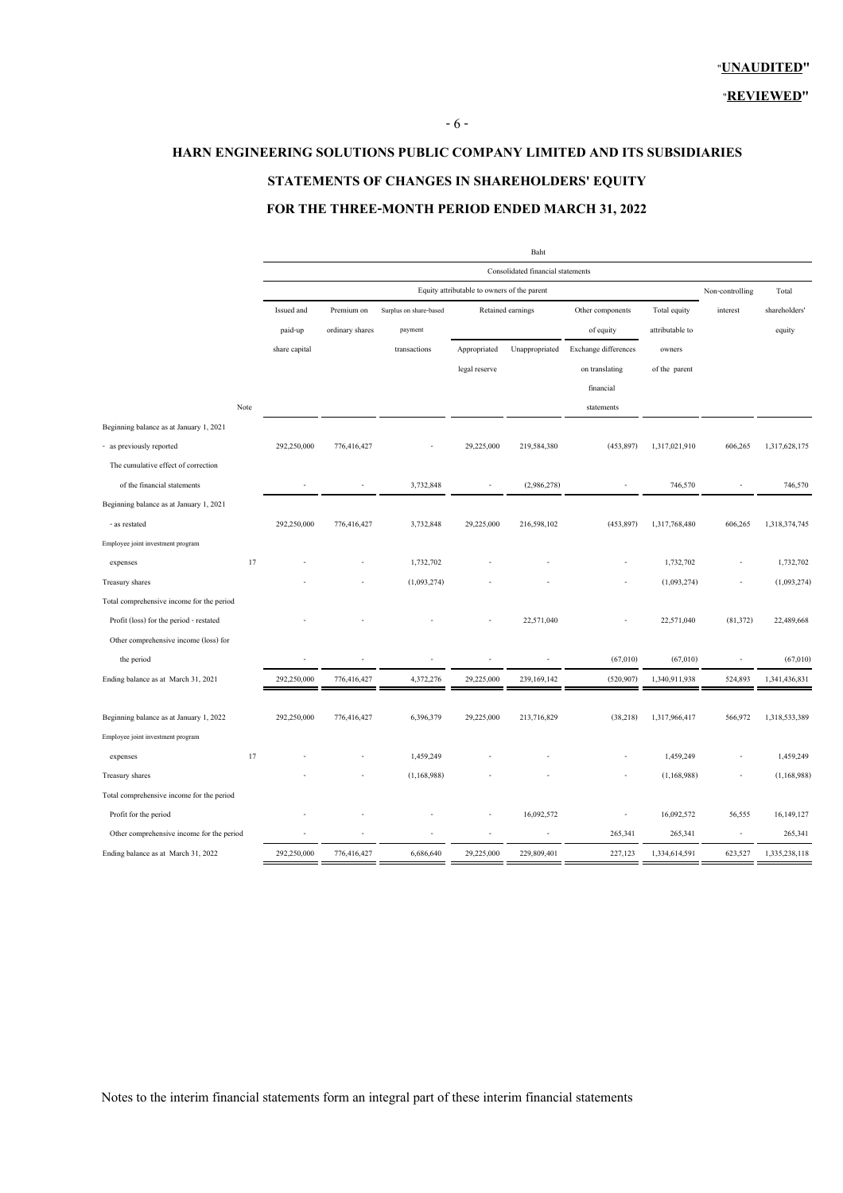#### **HARN ENGINEERING SOLUTIONS PUBLIC COMPANY LIMITED AND ITS SUBSIDIARIES**

#### **STATEMENTS OF CHANGES IN SHAREHOLDERS' EQUITY**

#### **FOR THE THREE-MONTH PERIOD ENDED MARCH 31, 2022**

|                                           |      |                                   |                                                                               |              |                                             | Baht           |                      |                 |           |               |
|-------------------------------------------|------|-----------------------------------|-------------------------------------------------------------------------------|--------------|---------------------------------------------|----------------|----------------------|-----------------|-----------|---------------|
|                                           |      | Consolidated financial statements |                                                                               |              |                                             |                |                      |                 |           |               |
|                                           |      |                                   |                                                                               |              | Equity attributable to owners of the parent |                | Non-controlling      |                 |           | Total         |
|                                           |      | Issued and                        | Surplus on share-based<br>Retained earnings<br>Other components<br>Premium on | Total equity | interest                                    | shareholders'  |                      |                 |           |               |
|                                           |      | paid-up                           | ordinary shares                                                               | payment      |                                             |                | of equity            | attributable to |           | equity        |
|                                           |      | share capital                     |                                                                               | transactions | Appropriated                                | Unappropriated | Exchange differences | owners          |           |               |
|                                           |      |                                   |                                                                               |              | legal reserve                               |                | on translating       | of the parent   |           |               |
|                                           |      |                                   |                                                                               |              |                                             |                | financial            |                 |           |               |
|                                           | Note |                                   |                                                                               |              |                                             |                | statements           |                 |           |               |
| Beginning balance as at January 1, 2021   |      |                                   |                                                                               |              |                                             |                |                      |                 |           |               |
| - as previously reported                  |      | 292,250,000                       | 776,416,427                                                                   |              | 29,225,000                                  | 219,584,380    | (453, 897)           | 1,317,021,910   | 606,265   | 1,317,628,175 |
| The cumulative effect of correction       |      |                                   |                                                                               |              |                                             |                |                      |                 |           |               |
| of the financial statements               |      |                                   |                                                                               | 3,732,848    |                                             | (2,986,278)    |                      | 746,570         |           | 746,570       |
| Beginning balance as at January 1, 2021   |      |                                   |                                                                               |              |                                             |                |                      |                 |           |               |
| - as restated                             |      | 292,250,000                       | 776,416,427                                                                   | 3,732,848    | 29,225,000                                  | 216,598,102    | (453, 897)           | 1,317,768,480   | 606,265   | 1,318,374,745 |
| Employee joint investment program         |      |                                   |                                                                               |              |                                             |                |                      |                 |           |               |
| expenses                                  | 17   |                                   |                                                                               | 1,732,702    |                                             |                |                      | 1,732,702       |           | 1,732,702     |
| Treasury shares                           |      |                                   |                                                                               | (1,093,274)  |                                             |                |                      | (1,093,274)     |           | (1,093,274)   |
| Total comprehensive income for the period |      |                                   |                                                                               |              |                                             |                |                      |                 |           |               |
| Profit (loss) for the period - restated   |      |                                   |                                                                               |              |                                             | 22,571,040     |                      | 22,571,040      | (81, 372) | 22,489,668    |
| Other comprehensive income (loss) for     |      |                                   |                                                                               |              |                                             |                |                      |                 |           |               |
| the period                                |      |                                   |                                                                               |              |                                             |                | (67,010)             | (67,010)        |           | (67,010)      |
| Ending balance as at March 31, 2021       |      | 292,250,000                       | 776,416,427                                                                   | 4,372,276    | 29,225,000                                  | 239,169,142    | (520, 907)           | 1,340,911,938   | 524,893   | 1,341,436,831 |
|                                           |      |                                   |                                                                               |              |                                             |                |                      |                 |           |               |
| Beginning balance as at January 1, 2022   |      | 292,250,000                       | 776,416,427                                                                   | 6,396,379    | 29,225,000                                  | 213,716,829    | (38, 218)            | 1,317,966,417   | 566,972   | 1,318,533,389 |
| Employee joint investment program         |      |                                   |                                                                               |              |                                             |                |                      |                 |           |               |
| expenses                                  | 17   |                                   |                                                                               | 1,459,249    |                                             |                |                      | 1,459,249       |           | 1,459,249     |
| Treasury shares                           |      |                                   |                                                                               | (1,168,988)  |                                             |                |                      | (1,168,988)     |           | (1,168,988)   |
| Total comprehensive income for the period |      |                                   |                                                                               |              |                                             |                |                      |                 |           |               |
| Profit for the period                     |      |                                   |                                                                               |              |                                             | 16,092,572     |                      | 16,092,572      | 56,555    | 16,149,127    |
| Other comprehensive income for the period |      |                                   |                                                                               |              |                                             | ×,             | 265,341              | 265,341         | ÷,        | 265,341       |
| Ending balance as at March 31, 2022       |      | 292,250,000                       | 776,416,427                                                                   | 6,686,640    | 29,225,000                                  | 229,809,401    | 227,123              | 1,334,614,591   | 623,527   | 1,335,238,118 |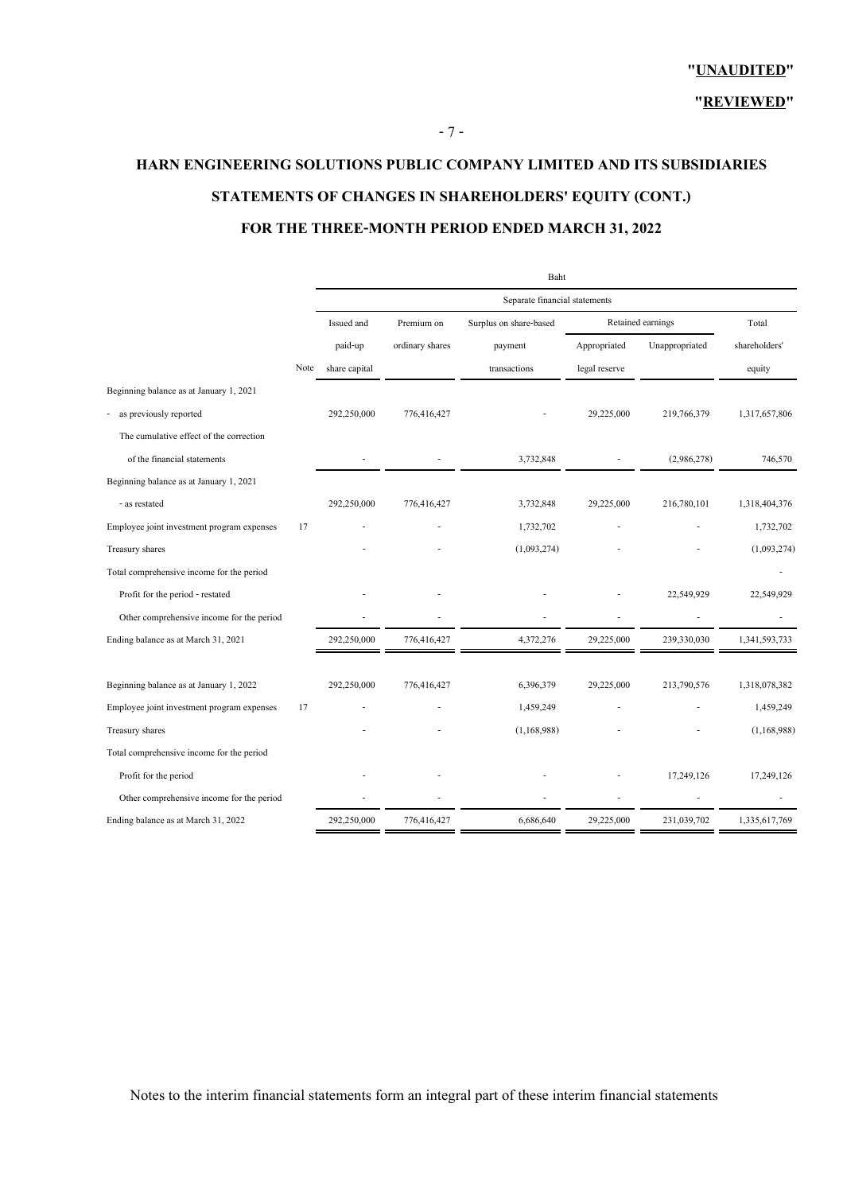# **STATEMENTS OF CHANGES IN SHAREHOLDERS' EQUITY (CONT.) FOR THE THREE-MONTH PERIOD ENDED MARCH 31, 2022 HARN ENGINEERING SOLUTIONS PUBLIC COMPANY LIMITED AND ITS SUBSIDIARIES**

|                                            |      |               | Baht                          |                        |               |                   |               |  |  |
|--------------------------------------------|------|---------------|-------------------------------|------------------------|---------------|-------------------|---------------|--|--|
|                                            |      |               | Separate financial statements |                        |               |                   |               |  |  |
|                                            |      | Issued and    | Premium on                    | Surplus on share-based |               | Retained earnings | Total         |  |  |
|                                            |      | paid-up       | ordinary shares               | payment                | Appropriated  | Unappropriated    | shareholders' |  |  |
|                                            | Note | share capital |                               | transactions           | legal reserve |                   | equity        |  |  |
| Beginning balance as at January 1, 2021    |      |               |                               |                        |               |                   |               |  |  |
| as previously reported                     |      | 292,250,000   | 776,416,427                   |                        | 29,225,000    | 219,766,379       | 1,317,657,806 |  |  |
| The cumulative effect of the correction    |      |               |                               |                        |               |                   |               |  |  |
| of the financial statements                |      |               |                               | 3,732,848              |               | (2,986,278)       | 746,570       |  |  |
| Beginning balance as at January 1, 2021    |      |               |                               |                        |               |                   |               |  |  |
| - as restated                              |      | 292,250,000   | 776,416,427                   | 3,732,848              | 29,225,000    | 216,780,101       | 1,318,404,376 |  |  |
| Employee joint investment program expenses | 17   |               |                               | 1,732,702              |               |                   | 1,732,702     |  |  |
| Treasury shares                            |      |               |                               | (1,093,274)            |               |                   | (1,093,274)   |  |  |
| Total comprehensive income for the period  |      |               |                               |                        |               |                   |               |  |  |
| Profit for the period - restated           |      |               |                               |                        |               | 22,549,929        | 22,549,929    |  |  |
| Other comprehensive income for the period  |      |               |                               |                        |               |                   |               |  |  |
| Ending balance as at March 31, 2021        |      | 292,250,000   | 776,416,427                   | 4,372,276              | 29,225,000    | 239,330,030       | 1,341,593,733 |  |  |
| Beginning balance as at January 1, 2022    |      | 292,250,000   | 776,416,427                   | 6,396,379              | 29,225,000    | 213,790,576       | 1,318,078,382 |  |  |
| Employee joint investment program expenses | 17   |               |                               | 1,459,249              |               |                   | 1,459,249     |  |  |
| Treasury shares                            |      |               |                               | (1,168,988)            |               |                   | (1,168,988)   |  |  |
| Total comprehensive income for the period  |      |               |                               |                        |               |                   |               |  |  |
| Profit for the period                      |      |               |                               |                        |               | 17,249,126        | 17,249,126    |  |  |
| Other comprehensive income for the period  |      |               |                               |                        |               |                   |               |  |  |
| Ending balance as at March 31, 2022        |      | 292,250,000   | 776,416,427                   | 6,686,640              | 29,225,000    | 231,039,702       | 1,335,617,769 |  |  |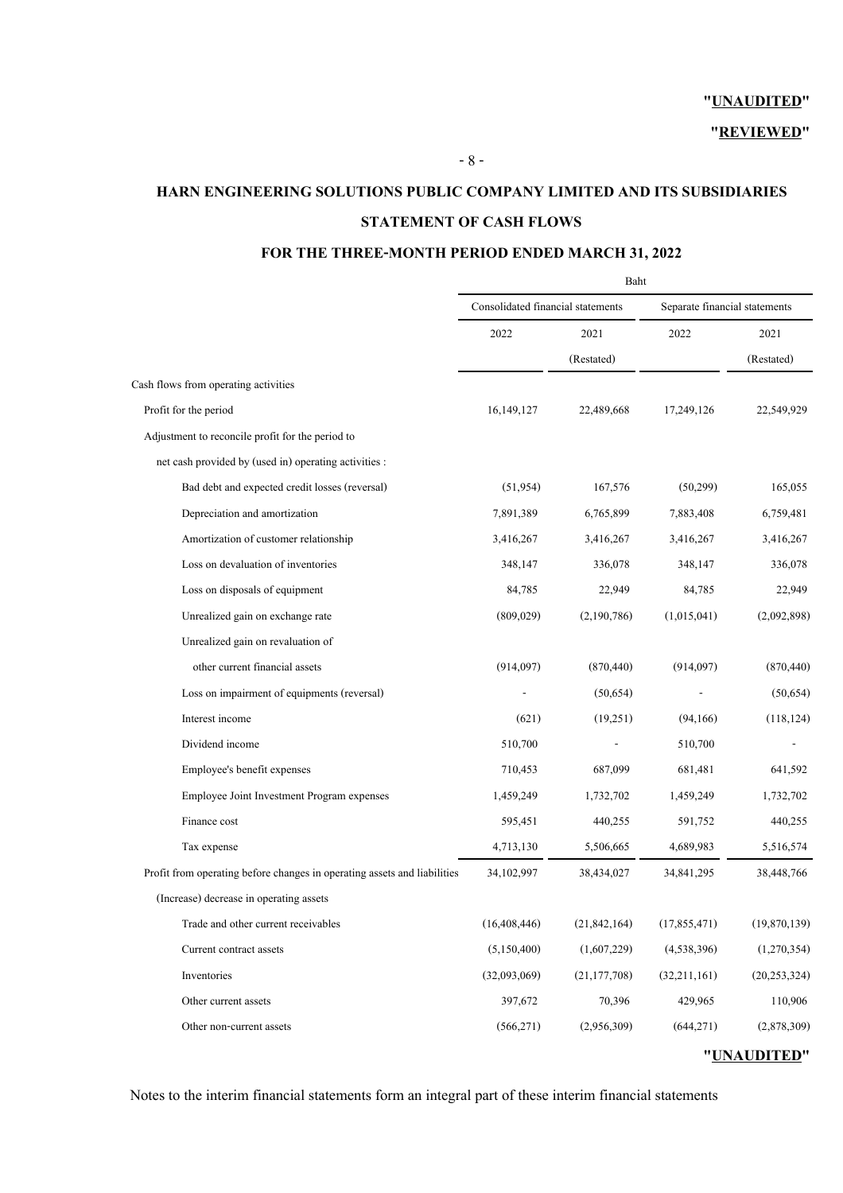**"REVIEWED"**

# **STATEMENT OF CASH FLOWS HARN ENGINEERING SOLUTIONS PUBLIC COMPANY LIMITED AND ITS SUBSIDIARIES**

#### **FOR THE THREE-MONTH PERIOD ENDED MARCH 31, 2022**

|                                                                          | Baht                              |                |                               |                |  |  |
|--------------------------------------------------------------------------|-----------------------------------|----------------|-------------------------------|----------------|--|--|
|                                                                          | Consolidated financial statements |                | Separate financial statements |                |  |  |
|                                                                          | 2022                              | 2021           | 2022                          | 2021           |  |  |
|                                                                          |                                   | (Restated)     |                               | (Restated)     |  |  |
| Cash flows from operating activities                                     |                                   |                |                               |                |  |  |
| Profit for the period                                                    | 16, 149, 127                      | 22,489,668     | 17,249,126                    | 22,549,929     |  |  |
| Adjustment to reconcile profit for the period to                         |                                   |                |                               |                |  |  |
| net cash provided by (used in) operating activities :                    |                                   |                |                               |                |  |  |
| Bad debt and expected credit losses (reversal)                           | (51, 954)                         | 167,576        | (50, 299)                     | 165,055        |  |  |
| Depreciation and amortization                                            | 7,891,389                         | 6,765,899      | 7,883,408                     | 6,759,481      |  |  |
| Amortization of customer relationship                                    | 3,416,267                         | 3,416,267      | 3,416,267                     | 3,416,267      |  |  |
| Loss on devaluation of inventories                                       | 348,147                           | 336,078        | 348,147                       | 336,078        |  |  |
| Loss on disposals of equipment                                           | 84,785                            | 22,949         | 84,785                        | 22,949         |  |  |
| Unrealized gain on exchange rate                                         | (809, 029)                        | (2,190,786)    | (1,015,041)                   | (2,092,898)    |  |  |
| Unrealized gain on revaluation of                                        |                                   |                |                               |                |  |  |
| other current financial assets                                           | (914,097)                         | (870, 440)     | (914,097)                     | (870, 440)     |  |  |
| Loss on impairment of equipments (reversal)                              |                                   | (50, 654)      |                               | (50, 654)      |  |  |
| Interest income                                                          | (621)                             | (19,251)       | (94,166)                      | (118, 124)     |  |  |
| Dividend income                                                          | 510,700                           |                | 510,700                       |                |  |  |
| Employee's benefit expenses                                              | 710,453                           | 687,099        | 681,481                       | 641,592        |  |  |
| Employee Joint Investment Program expenses                               | 1,459,249                         | 1,732,702      | 1,459,249                     | 1,732,702      |  |  |
| Finance cost                                                             | 595,451                           | 440,255        | 591,752                       | 440,255        |  |  |
| Tax expense                                                              | 4,713,130                         | 5,506,665      | 4,689,983                     | 5,516,574      |  |  |
| Profit from operating before changes in operating assets and liabilities | 34,102,997                        | 38,434,027     | 34,841,295                    | 38,448,766     |  |  |
| (Increase) decrease in operating assets                                  |                                   |                |                               |                |  |  |
| Trade and other current receivables                                      | (16, 408, 446)                    | (21, 842, 164) | (17, 855, 471)                | (19,870,139)   |  |  |
| Current contract assets                                                  | (5,150,400)                       | (1,607,229)    | (4,538,396)                   | (1,270,354)    |  |  |
| Inventories                                                              | (32,093,069)                      | (21, 177, 708) | (32,211,161)                  | (20, 253, 324) |  |  |
| Other current assets                                                     | 397,672                           | 70,396         | 429,965                       | 110,906        |  |  |
| Other non-current assets                                                 | (566, 271)                        | (2,956,309)    | (644, 271)                    | (2,878,309)    |  |  |
|                                                                          |                                   |                |                               | "UNAUDITED"    |  |  |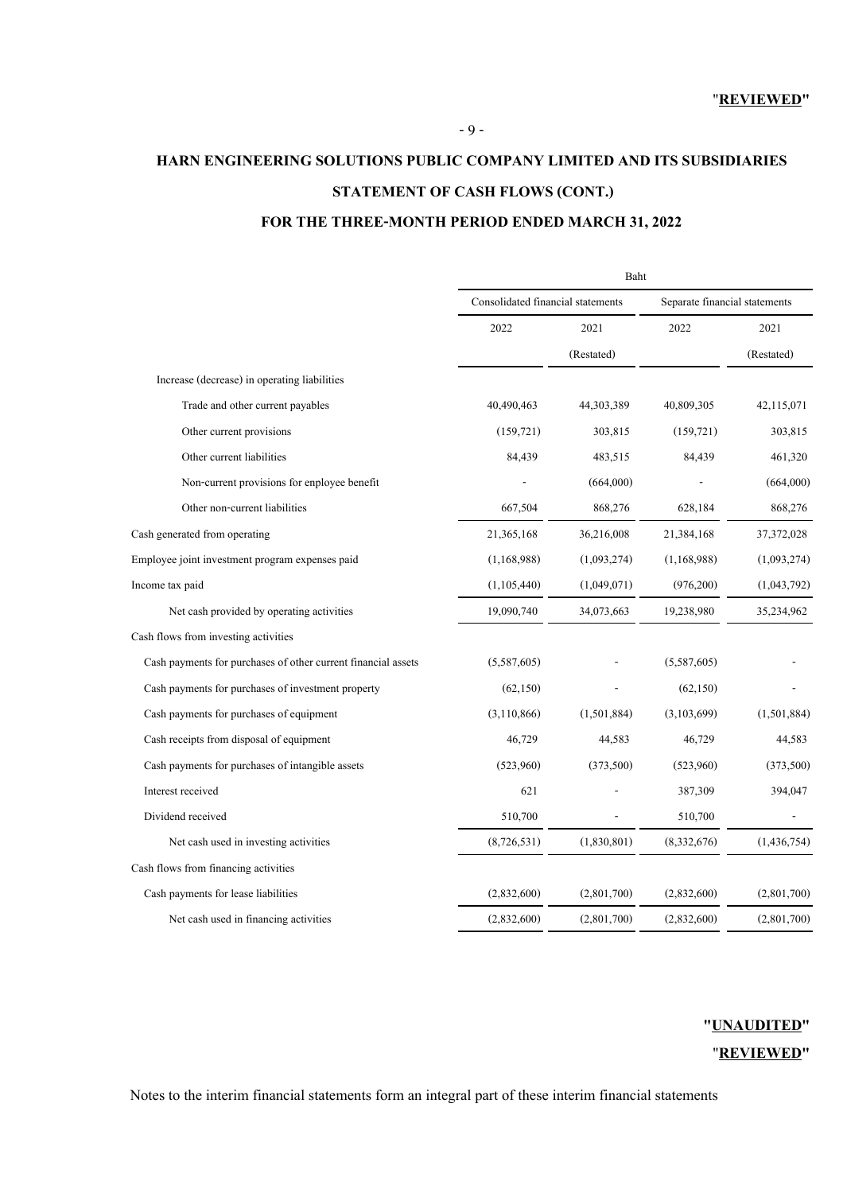# **HARN ENGINEERING SOLUTIONS PUBLIC COMPANY LIMITED AND ITS SUBSIDIARIES STATEMENT OF CASH FLOWS (CONT.)**

### **FOR THE THREE-MONTH PERIOD ENDED MARCH 31, 2022**

|                                                               |             | Consolidated financial statements<br>Separate financial statements |             |              |
|---------------------------------------------------------------|-------------|--------------------------------------------------------------------|-------------|--------------|
|                                                               | 2022        | 2021                                                               | 2022        | 2021         |
|                                                               |             | (Restated)                                                         |             | (Restated)   |
| Increase (decrease) in operating liabilities                  |             |                                                                    |             |              |
| Trade and other current payables                              | 40,490,463  | 44,303,389                                                         | 40,809,305  | 42,115,071   |
| Other current provisions                                      | (159, 721)  | 303,815                                                            | (159, 721)  | 303,815      |
| Other current liabilities                                     | 84,439      | 483,515                                                            | 84,439      | 461,320      |
| Non-current provisions for enployee benefit                   |             | (664,000)                                                          |             | (664,000)    |
| Other non-current liabilities                                 | 667,504     | 868,276                                                            | 628,184     | 868,276      |
| Cash generated from operating                                 | 21,365,168  | 36,216,008                                                         | 21,384,168  | 37, 372, 028 |
| Employee joint investment program expenses paid               | (1,168,988) | (1,093,274)                                                        | (1,168,988) | (1,093,274)  |
| Income tax paid                                               | (1,105,440) | (1,049,071)                                                        | (976,200)   | (1,043,792)  |
| Net cash provided by operating activities                     | 19,090,740  | 34,073,663                                                         | 19,238,980  | 35,234,962   |
| Cash flows from investing activities                          |             |                                                                    |             |              |
| Cash payments for purchases of other current financial assets | (5,587,605) |                                                                    | (5,587,605) |              |
| Cash payments for purchases of investment property            | (62, 150)   |                                                                    | (62, 150)   |              |
| Cash payments for purchases of equipment                      | (3,110,866) | (1,501,884)                                                        | (3,103,699) | (1,501,884)  |
| Cash receipts from disposal of equipment                      | 46,729      | 44,583                                                             | 46,729      | 44,583       |
| Cash payments for purchases of intangible assets              | (523,960)   | (373,500)                                                          | (523,960)   | (373,500)    |
| Interest received                                             | 621         |                                                                    | 387,309     | 394,047      |
| Dividend received                                             | 510,700     |                                                                    | 510,700     |              |
| Net cash used in investing activities                         | (8,726,531) | (1,830,801)                                                        | (8,332,676) | (1,436,754)  |
| Cash flows from financing activities                          |             |                                                                    |             |              |
| Cash payments for lease liabilities                           | (2,832,600) | (2,801,700)                                                        | (2,832,600) | (2,801,700)  |
| Net cash used in financing activities                         | (2,832,600) | (2,801,700)                                                        | (2,832,600) | (2,801,700)  |

#### **"UNAUDITED"**

#### "**REVIEWED"**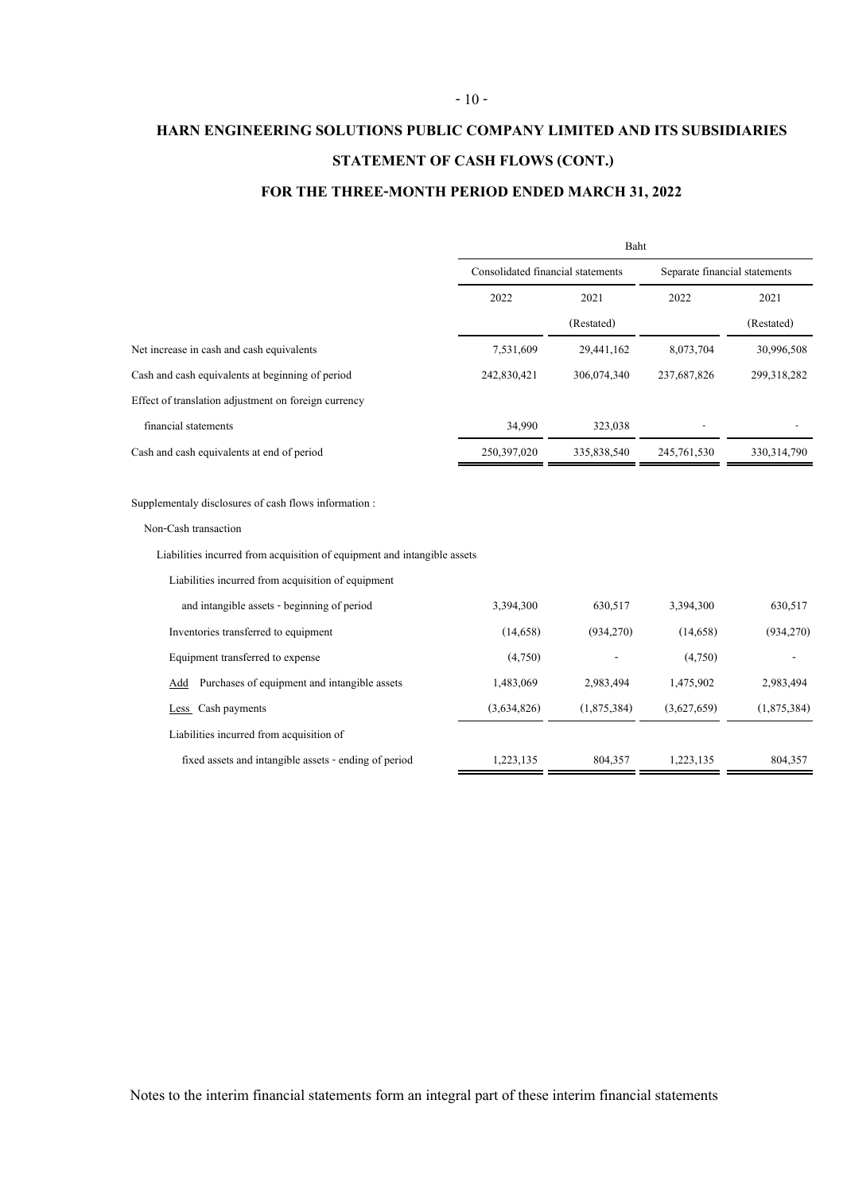# **STATEMENT OF CASH FLOWS (CONT.) HARN ENGINEERING SOLUTIONS PUBLIC COMPANY LIMITED AND ITS SUBSIDIARIES**

#### **FOR THE THREE-MONTH PERIOD ENDED MARCH 31, 2022**

|                                                                                                                                                          | Baht                              |             |                               |               |  |  |
|----------------------------------------------------------------------------------------------------------------------------------------------------------|-----------------------------------|-------------|-------------------------------|---------------|--|--|
|                                                                                                                                                          | Consolidated financial statements |             | Separate financial statements |               |  |  |
|                                                                                                                                                          | 2022                              | 2021        | 2022                          | 2021          |  |  |
|                                                                                                                                                          |                                   | (Restated)  |                               | (Restated)    |  |  |
| Net increase in cash and cash equivalents                                                                                                                | 7,531,609                         | 29,441,162  | 8,073,704                     | 30,996,508    |  |  |
| Cash and cash equivalents at beginning of period                                                                                                         | 242,830,421                       | 306,074,340 | 237,687,826                   | 299,318,282   |  |  |
| Effect of translation adjustment on foreign currency                                                                                                     |                                   |             |                               |               |  |  |
| financial statements                                                                                                                                     | 34,990                            | 323,038     |                               |               |  |  |
| Cash and cash equivalents at end of period                                                                                                               | 250,397,020                       | 335,838,540 | 245,761,530                   | 330, 314, 790 |  |  |
| Supplementaly disclosures of cash flows information:<br>Non-Cash transaction<br>Liabilities incurred from acquisition of equipment and intangible assets |                                   |             |                               |               |  |  |
| Liabilities incurred from acquisition of equipment                                                                                                       |                                   |             |                               |               |  |  |
| and intangible assets - beginning of period                                                                                                              | 3,394,300                         | 630.517     | 3,394,300                     | 630,517       |  |  |
| Inventories transferred to equipment                                                                                                                     | (14,658)                          | (934,270)   | (14,658)                      | (934,270)     |  |  |
| Equipment transferred to expense                                                                                                                         | (4,750)                           |             | (4,750)                       |               |  |  |
| Purchases of equipment and intangible assets<br>Add                                                                                                      | 1,483,069                         | 2,983,494   | 1,475,902                     | 2,983,494     |  |  |
| Less Cash payments                                                                                                                                       | (3,634,826)                       | (1,875,384) | (3,627,659)                   | (1,875,384)   |  |  |

Liabilities incurred from acquisition of fixed assets and intangible assets - ending of period 1,223,135 804,357 1,223,135 804,357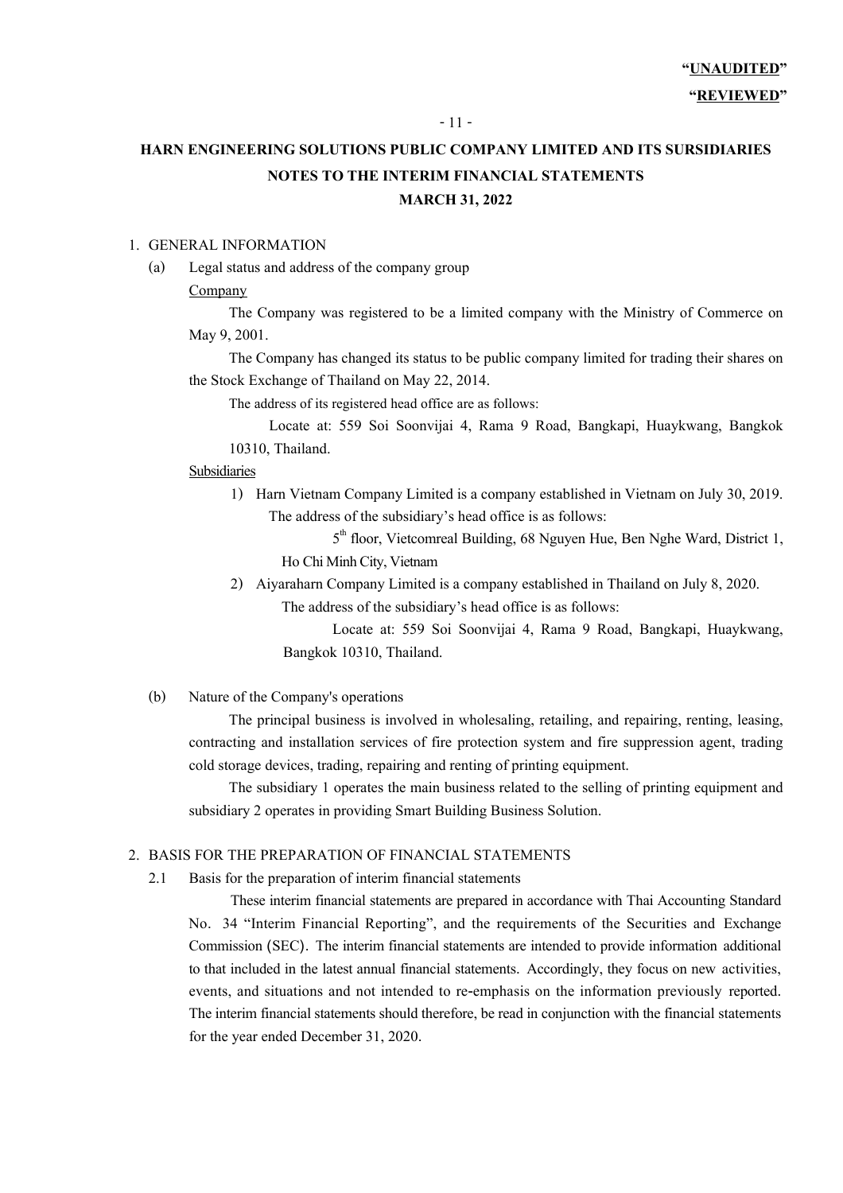## **HARN ENGINEERING SOLUTIONS PUBLIC COMPANY LIMITED AND ITS SURSIDIARIES NOTES TO THE INTERIM FINANCIAL STATEMENTS MARCH 31, 2022**

#### 1. GENERAL INFORMATION

 (a) Legal status and address of the company group Company

> The Company was registered to be a limited company with the Ministry of Commerce on May 9, 2001.

> The Company has changed its status to be public company limited for trading their shares on the Stock Exchange of Thailand on May 22, 2014.

The address of its registered head office are as follows:

 Locate at: 559 Soi Soonvijai 4, Rama 9 Road, Bangkapi, Huaykwang, Bangkok 10310, Thailand.

#### **Subsidiaries**

1) Harn Vietnam Company Limited is a company established in Vietnam on July 30, 2019. The address of the subsidiary's head office is as follows:

 $5<sup>th</sup>$  floor, Vietcomreal Building, 68 Nguyen Hue, Ben Nghe Ward, District 1, Ho Chi Minh City, Vietnam

2) Aiyaraharn Company Limited is a company established in Thailand on July 8, 2020. The address of the subsidiary's head office is as follows:

 Locate at: 559 Soi Soonvijai 4, Rama 9 Road, Bangkapi, Huaykwang, Bangkok 10310, Thailand.

#### (b) Nature of the Company's operations

 The principal business is involved in wholesaling, retailing, and repairing, renting, leasing, contracting and installation services of fire protection system and fire suppression agent, trading cold storage devices, trading, repairing and renting of printing equipment.

The subsidiary 1 operates the main business related to the selling of printing equipment and subsidiary 2 operates in providing Smart Building Business Solution.

#### 2. BASIS FOR THE PREPARATION OF FINANCIAL STATEMENTS

2.1 Basis for the preparation of interim financial statements

 These interim financial statements are prepared in accordance with Thai Accounting Standard No. 34 "Interim Financial Reporting", and the requirements of the Securities and Exchange Commission (SEC). The interim financial statements are intended to provide information additional to that included in the latest annual financial statements. Accordingly, they focus on new activities, events, and situations and not intended to re-emphasis on the information previously reported. The interim financial statements should therefore, be read in conjunction with the financial statements for the year ended December 31, 2020.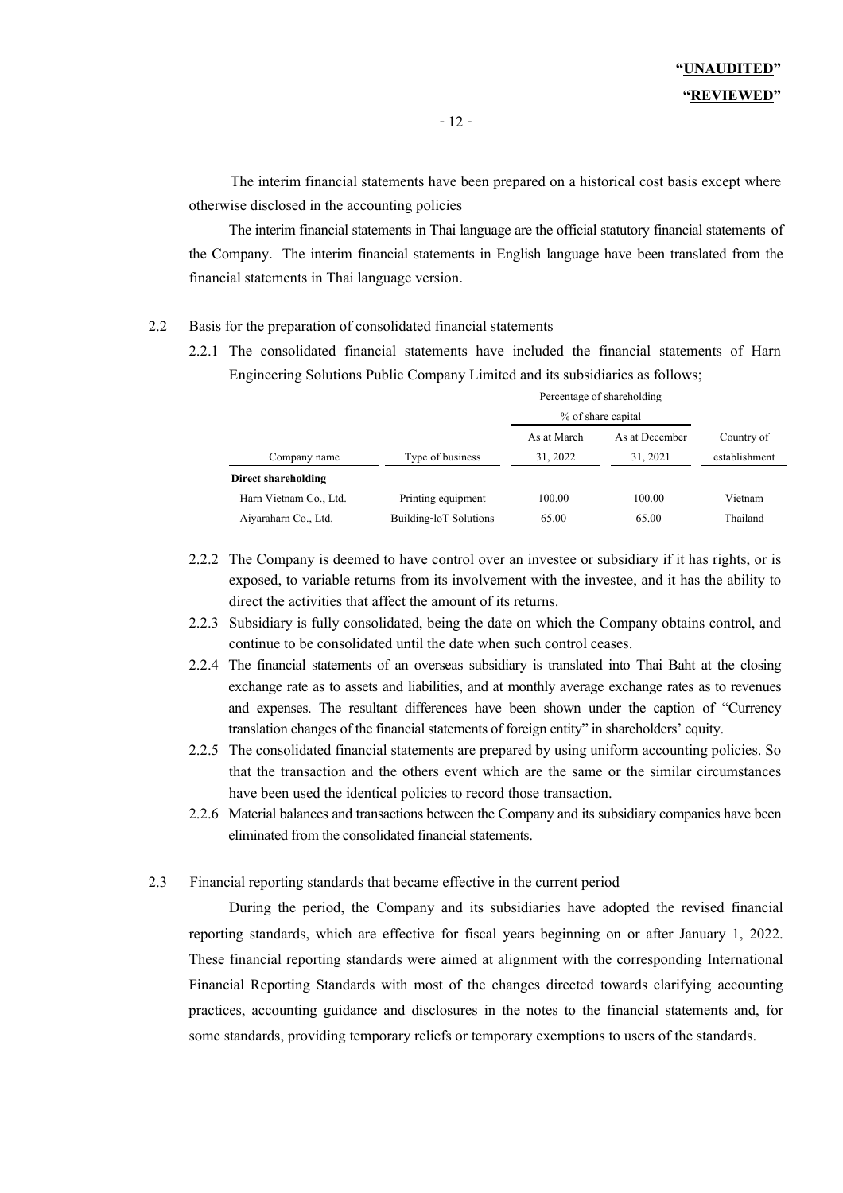The interim financial statements have been prepared on a historical cost basis except where otherwise disclosed in the accounting policies

 The interim financial statements in Thai language are the official statutory financial statements of the Company. The interim financial statements in English language have been translated from the financial statements in Thai language version.

#### 2.2 Basis for the preparation of consolidated financial statements

 2.2.1 The consolidated financial statements have included the financial statements of Harn Engineering Solutions Public Company Limited and its subsidiaries as follows;

|                        |                        | Percentage of shareholding |                |               |  |  |  |
|------------------------|------------------------|----------------------------|----------------|---------------|--|--|--|
|                        |                        | % of share capital         |                |               |  |  |  |
|                        |                        | As at March                | As at December | Country of    |  |  |  |
| Company name           | Type of business       | 31, 2022                   | 31, 2021       | establishment |  |  |  |
| Direct shareholding    |                        |                            |                |               |  |  |  |
| Harn Vietnam Co., Ltd. | Printing equipment     | 100.00                     | 100.00         | Vietnam       |  |  |  |
| Aiyaraharn Co., Ltd.   | Building-loT Solutions | 65.00                      | 65.00          | Thailand      |  |  |  |

- 2.2.2 The Company is deemed to have control over an investee or subsidiary if it has rights, or is exposed, to variable returns from its involvement with the investee, and it has the ability to direct the activities that affect the amount of its returns.
- 2.2.3 Subsidiary is fully consolidated, being the date on which the Company obtains control, and continue to be consolidated until the date when such control ceases.
- 2.2.4 The financial statements of an overseas subsidiary is translated into Thai Baht at the closing exchange rate as to assets and liabilities, and at monthly average exchange rates as to revenues and expenses. The resultant differences have been shown under the caption of "Currency translation changes of the financial statements of foreign entity" in shareholders' equity.
- 2.2.5 The consolidated financial statements are prepared by using uniform accounting policies. So that the transaction and the others event which are the same or the similar circumstances have been used the identical policies to record those transaction.
- 2.2.6 Material balances and transactions between the Company and its subsidiary companies have been eliminated from the consolidated financial statements.

#### 2.3 Financial reporting standards that became effective in the current period

During the period, the Company and its subsidiaries have adopted the revised financial reporting standards, which are effective for fiscal years beginning on or after January 1, 2022. These financial reporting standards were aimed at alignment with the corresponding International Financial Reporting Standards with most of the changes directed towards clarifying accounting practices, accounting guidance and disclosures in the notes to the financial statements and, for some standards, providing temporary reliefs or temporary exemptions to users of the standards.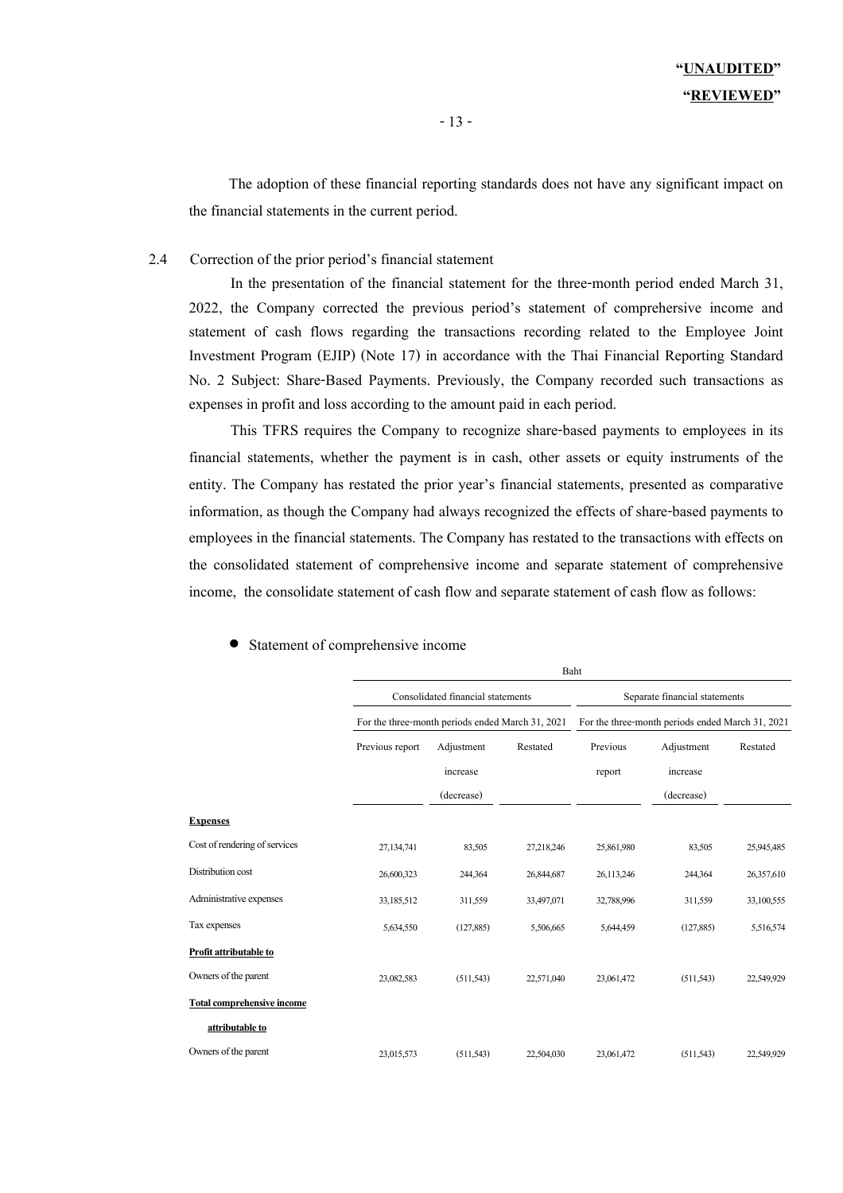The adoption of these financial reporting standards does not have any significant impact on the financial statements in the current period.

#### 2.4 Correction of the prior period's financial statement

 In the presentation of the financial statement for the three-month period ended March 31, 2022, the Company corrected the previous period's statement of comprehersive income and statement of cash flows regarding the transactions recording related to the Employee Joint Investment Program (EJIP) (Note 17) in accordance with the Thai Financial Reporting Standard No. 2 Subject: Share-Based Payments. Previously, the Company recorded such transactions as expenses in profit and loss according to the amount paid in each period.

 This TFRS requires the Company to recognize share-based payments to employees in its financial statements, whether the payment is in cash, other assets or equity instruments of the entity. The Company has restated the prior year's financial statements, presented as comparative information, as though the Company had always recognized the effects of share-based payments to employees in the financial statements. The Company has restated to the transactions with effects on the consolidated statement of comprehensive income and separate statement of comprehensive income, the consolidate statement of cash flow and separate statement of cash flow as follows:

Baht

|                                   |                 | Consolidated financial statements                |            | Separate financial statements |                                                  |            |  |  |
|-----------------------------------|-----------------|--------------------------------------------------|------------|-------------------------------|--------------------------------------------------|------------|--|--|
|                                   |                 | For the three-month periods ended March 31, 2021 |            |                               | For the three-month periods ended March 31, 2021 |            |  |  |
|                                   | Previous report | Adjustment                                       | Restated   | Previous                      | Adjustment                                       | Restated   |  |  |
|                                   |                 | increase                                         |            | report                        | increase                                         |            |  |  |
|                                   |                 | (decrease)                                       |            |                               | (decrease)                                       |            |  |  |
| <b>Expenses</b>                   |                 |                                                  |            |                               |                                                  |            |  |  |
| Cost of rendering of services     | 27,134,741      | 83,505                                           | 27,218,246 | 25,861,980                    | 83,505                                           | 25,945,485 |  |  |
| Distribution cost                 | 26,600,323      | 244,364                                          | 26,844,687 | 26,113,246                    | 244,364                                          | 26,357,610 |  |  |
| Administrative expenses           | 33,185,512      | 311,559                                          | 33,497,071 | 32,788,996                    | 311,559                                          | 33,100,555 |  |  |
| Tax expenses                      | 5,634,550       | (127, 885)                                       | 5,506,665  | 5,644,459                     | (127, 885)                                       | 5,516,574  |  |  |
| Profit attributable to            |                 |                                                  |            |                               |                                                  |            |  |  |
| Owners of the parent              | 23,082,583      | (511, 543)                                       | 22,571,040 | 23,061,472                    | (511, 543)                                       | 22,549,929 |  |  |
| <b>Total comprehensive income</b> |                 |                                                  |            |                               |                                                  |            |  |  |
| attributable to                   |                 |                                                  |            |                               |                                                  |            |  |  |
| Owners of the parent              | 23,015,573      | (511, 543)                                       | 22,504,030 | 23,061,472                    | (511, 543)                                       | 22,549,929 |  |  |

• Statement of comprehensive income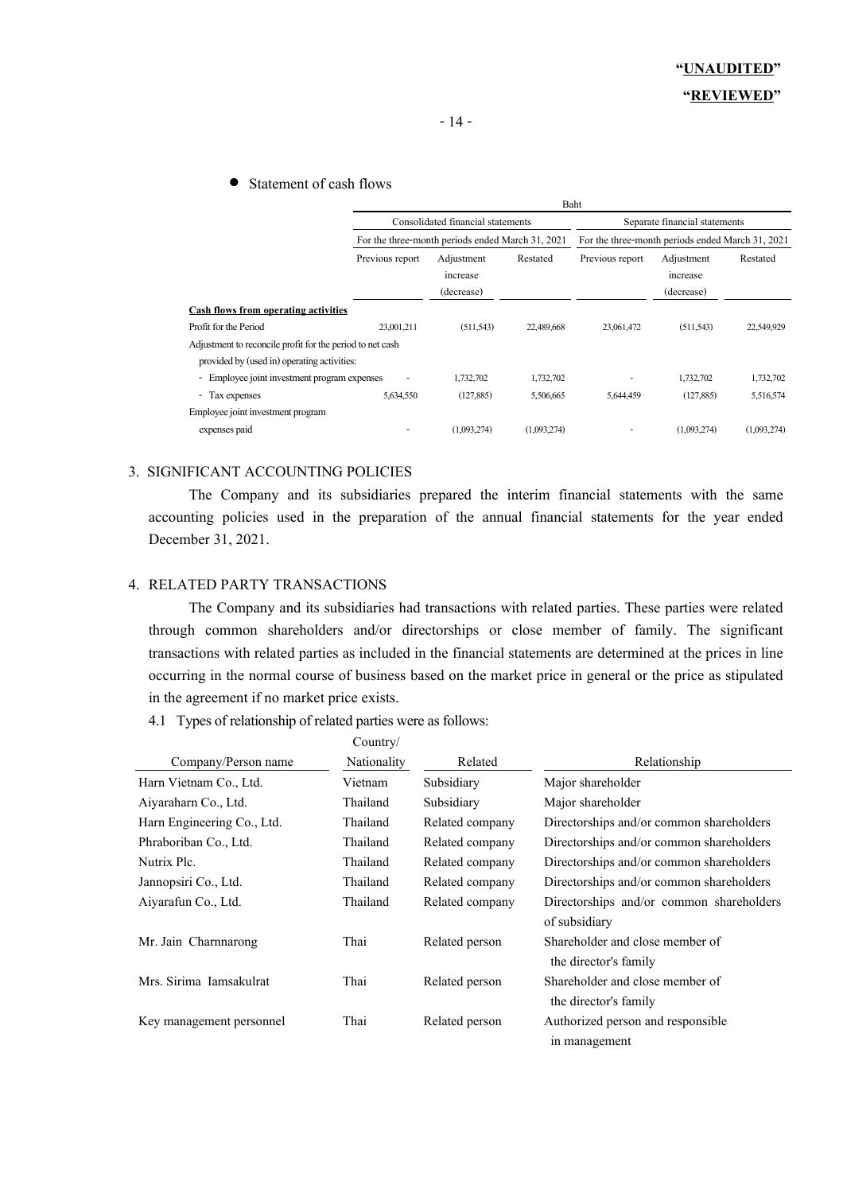• Statement of cash flows

|                                                                                                          | Baht            |                                                  |             |                                                  |                                      |             |  |
|----------------------------------------------------------------------------------------------------------|-----------------|--------------------------------------------------|-------------|--------------------------------------------------|--------------------------------------|-------------|--|
|                                                                                                          |                 | Consolidated financial statements                |             |                                                  | Separate financial statements        |             |  |
|                                                                                                          |                 | For the three-month periods ended March 31, 2021 |             | For the three-month periods ended March 31, 2021 |                                      |             |  |
|                                                                                                          | Previous report | Adjustment<br>increase<br>(decrease)             | Restated    | Previous report                                  | Adjustment<br>increase<br>(decrease) | Restated    |  |
| <b>Cash flows from operating activities</b>                                                              |                 |                                                  |             |                                                  |                                      |             |  |
| Profit for the Period                                                                                    | 23,001,211      | (511, 543)                                       | 22,489,668  | 23,061,472                                       | (511, 543)                           | 22,549,929  |  |
| Adjustment to reconcile profit for the period to net cash<br>provided by (used in) operating activities: |                 |                                                  |             |                                                  |                                      |             |  |
| Employee joint investment program expenses                                                               |                 | 1,732,702                                        | 1,732,702   |                                                  | 1,732,702                            | 1,732,702   |  |
| - Tax expenses                                                                                           | 5,634,550       | (127, 885)                                       | 5,506,665   | 5,644,459                                        | (127, 885)                           | 5,516,574   |  |
| Employee joint investment program                                                                        |                 |                                                  |             |                                                  |                                      |             |  |
| expenses paid                                                                                            |                 | (1,093,274)                                      | (1,093,274) |                                                  | (1,093,274)                          | (1,093,274) |  |

#### 3. SIGNIFICANT ACCOUNTING POLICIES

 The Company and its subsidiaries prepared the interim financial statements with the same accounting policies used in the preparation of the annual financial statements for the year ended December 31, 2021.

#### 4. RELATED PARTY TRANSACTIONS

 The Company and its subsidiaries had transactions with related parties. These parties were related through common shareholders and/or directorships or close member of family. The significant transactions with related parties as included in the financial statements are determined at the prices in line occurring in the normal course of business based on the market price in general or the price as stipulated in the agreement if no market price exists.

4.1 Types of relationship of related parties were as follows:

|                            | Country/    |                 |                                          |
|----------------------------|-------------|-----------------|------------------------------------------|
| Company/Person name        | Nationality | Related         | Relationship                             |
| Harn Vietnam Co., Ltd.     | Vietnam     | Subsidiary      | Major shareholder                        |
| Aiyaraharn Co., Ltd.       | Thailand    | Subsidiary      | Major shareholder                        |
| Harn Engineering Co., Ltd. | Thailand    | Related company | Directorships and/or common shareholders |
| Phraboriban Co., Ltd.      | Thailand    | Related company | Directorships and/or common shareholders |
| Nutrix Plc.                | Thailand    | Related company | Directorships and/or common shareholders |
| Jannopsiri Co., Ltd.       | Thailand    | Related company | Directorships and/or common shareholders |
| Aiyarafun Co., Ltd.        | Thailand    | Related company | Directorships and/or common shareholders |
|                            |             |                 | of subsidiary                            |
| Mr. Jain Charnnarong       | Thai        | Related person  | Shareholder and close member of          |
|                            |             |                 | the director's family                    |
| Mrs. Sirima Iamsakulrat    | Thai        | Related person  | Shareholder and close member of          |
|                            |             |                 | the director's family                    |
| Key management personnel   | Thai        | Related person  | Authorized person and responsible        |
|                            |             |                 | in management                            |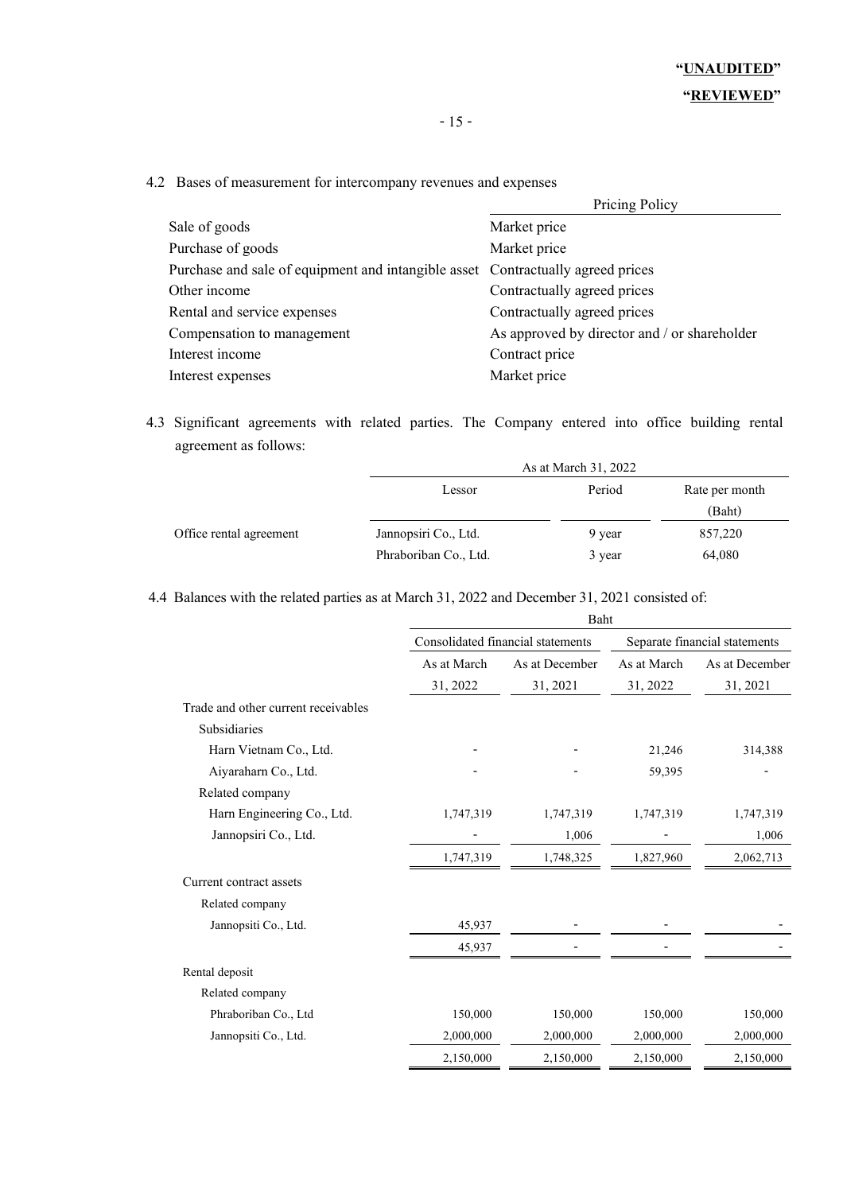#### 4.2 Bases of measurement for intercompany revenues and expenses

|                                                                                 | Pricing Policy                               |
|---------------------------------------------------------------------------------|----------------------------------------------|
| Sale of goods                                                                   | Market price                                 |
| Purchase of goods                                                               | Market price                                 |
| Purchase and sale of equipment and intangible asset Contractually agreed prices |                                              |
| Other income                                                                    | Contractually agreed prices                  |
| Rental and service expenses                                                     | Contractually agreed prices                  |
| Compensation to management                                                      | As approved by director and / or shareholder |
| Interest income                                                                 | Contract price                               |
| Interest expenses                                                               | Market price                                 |

4.3 Significant agreements with related parties. The Company entered into office building rental agreement as follows:

|                         |                       | As at March 31, 2022 |                |
|-------------------------|-----------------------|----------------------|----------------|
|                         | Lessor                | Period               | Rate per month |
|                         |                       |                      | (Baht)         |
| Office rental agreement | Jannopsiri Co., Ltd.  | 9 year               | 857,220        |
|                         | Phraboriban Co., Ltd. | 3 year               | 64,080         |

### 4.4 Balances with the related parties as at March 31, 2022 and December 31, 2021 consisted of:

|                                     | Baht        |                                   |             |                               |
|-------------------------------------|-------------|-----------------------------------|-------------|-------------------------------|
|                                     |             | Consolidated financial statements |             | Separate financial statements |
|                                     | As at March | As at December                    | As at March | As at December                |
|                                     | 31, 2022    | 31, 2021                          | 31, 2022    | 31, 2021                      |
| Trade and other current receivables |             |                                   |             |                               |
| <b>Subsidiaries</b>                 |             |                                   |             |                               |
| Harn Vietnam Co., Ltd.              |             |                                   | 21,246      | 314,388                       |
| Aiyaraharn Co., Ltd.                |             |                                   | 59,395      |                               |
| Related company                     |             |                                   |             |                               |
| Harn Engineering Co., Ltd.          | 1,747,319   | 1,747,319                         | 1,747,319   | 1,747,319                     |
| Jannopsiri Co., Ltd.                |             | 1,006                             |             | 1,006                         |
|                                     | 1,747,319   | 1,748,325                         | 1,827,960   | 2,062,713                     |
| Current contract assets             |             |                                   |             |                               |
| Related company                     |             |                                   |             |                               |
| Jannopsiti Co., Ltd.                | 45,937      |                                   |             |                               |
|                                     | 45,937      |                                   |             |                               |
| Rental deposit                      |             |                                   |             |                               |
| Related company                     |             |                                   |             |                               |
| Phraboriban Co., Ltd                | 150,000     | 150,000                           | 150,000     | 150,000                       |
| Jannopsiti Co., Ltd.                | 2,000,000   | 2,000,000                         | 2,000,000   | 2,000,000                     |
|                                     | 2,150,000   | 2,150,000                         | 2,150,000   | 2,150,000                     |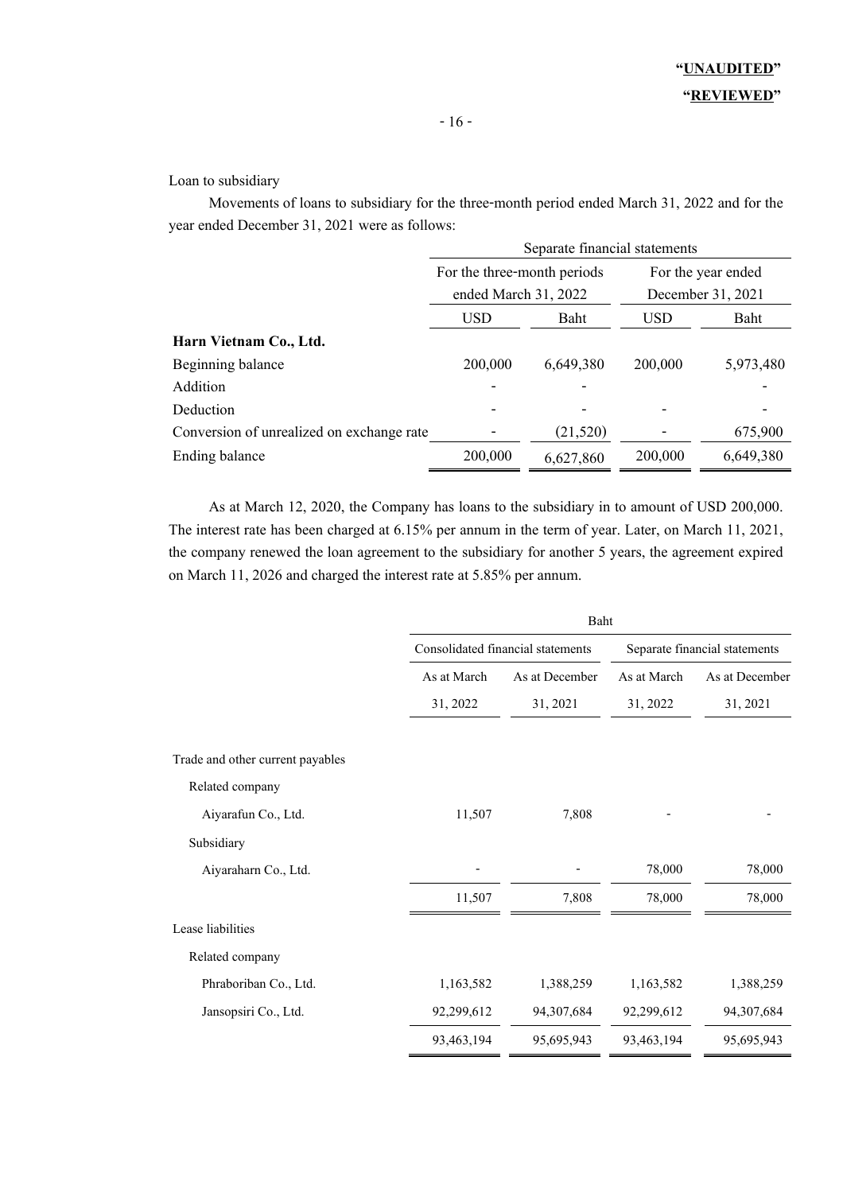Loan to subsidiary

Movements of loans to subsidiary for the three-month period ended March 31, 2022 and for the year ended December 31, 2021 were as follows:

|                                           | Separate financial statements |                             |                   |                    |
|-------------------------------------------|-------------------------------|-----------------------------|-------------------|--------------------|
|                                           |                               | For the three-month periods |                   | For the year ended |
|                                           | ended March 31, 2022          |                             | December 31, 2021 |                    |
|                                           | <b>USD</b>                    | Baht                        | USD               | Baht               |
| Harn Vietnam Co., Ltd.                    |                               |                             |                   |                    |
| Beginning balance                         | 200,000                       | 6,649,380                   | 200,000           | 5,973,480          |
| <b>Addition</b>                           |                               |                             |                   |                    |
| Deduction                                 |                               |                             |                   |                    |
| Conversion of unrealized on exchange rate |                               | (21,520)                    |                   | 675,900            |
| Ending balance                            | 200,000                       | 6,627,860                   | 200,000           | 6,649,380          |

As at March 12, 2020, the Company has loans to the subsidiary in to amount of USD 200,000. The interest rate has been charged at 6.15% per annum in the term of year. Later, on March 11, 2021, the company renewed the loan agreement to the subsidiary for another 5 years, the agreement expired on March 11, 2026 and charged the interest rate at 5.85% per annum.

|                                  | Baht        |                                   |                               |                |  |
|----------------------------------|-------------|-----------------------------------|-------------------------------|----------------|--|
|                                  |             | Consolidated financial statements | Separate financial statements |                |  |
|                                  | As at March | As at December                    | As at March                   | As at December |  |
|                                  | 31, 2022    | 31, 2021                          | 31, 2022                      | 31, 2021       |  |
|                                  |             |                                   |                               |                |  |
| Trade and other current payables |             |                                   |                               |                |  |
| Related company                  |             |                                   |                               |                |  |
| Aiyarafun Co., Ltd.              | 11,507      | 7,808                             |                               |                |  |
| Subsidiary                       |             |                                   |                               |                |  |
| Aiyaraharn Co., Ltd.             |             |                                   | 78,000                        | 78,000         |  |
|                                  | 11,507      | 7,808                             | 78,000                        | 78,000         |  |
| Lease liabilities                |             |                                   |                               |                |  |
| Related company                  |             |                                   |                               |                |  |
| Phraboriban Co., Ltd.            | 1,163,582   | 1,388,259                         | 1,163,582                     | 1,388,259      |  |
| Jansopsiri Co., Ltd.             | 92,299,612  | 94,307,684                        | 92,299,612                    | 94,307,684     |  |
|                                  | 93,463,194  | 95,695,943                        | 93,463,194                    | 95,695,943     |  |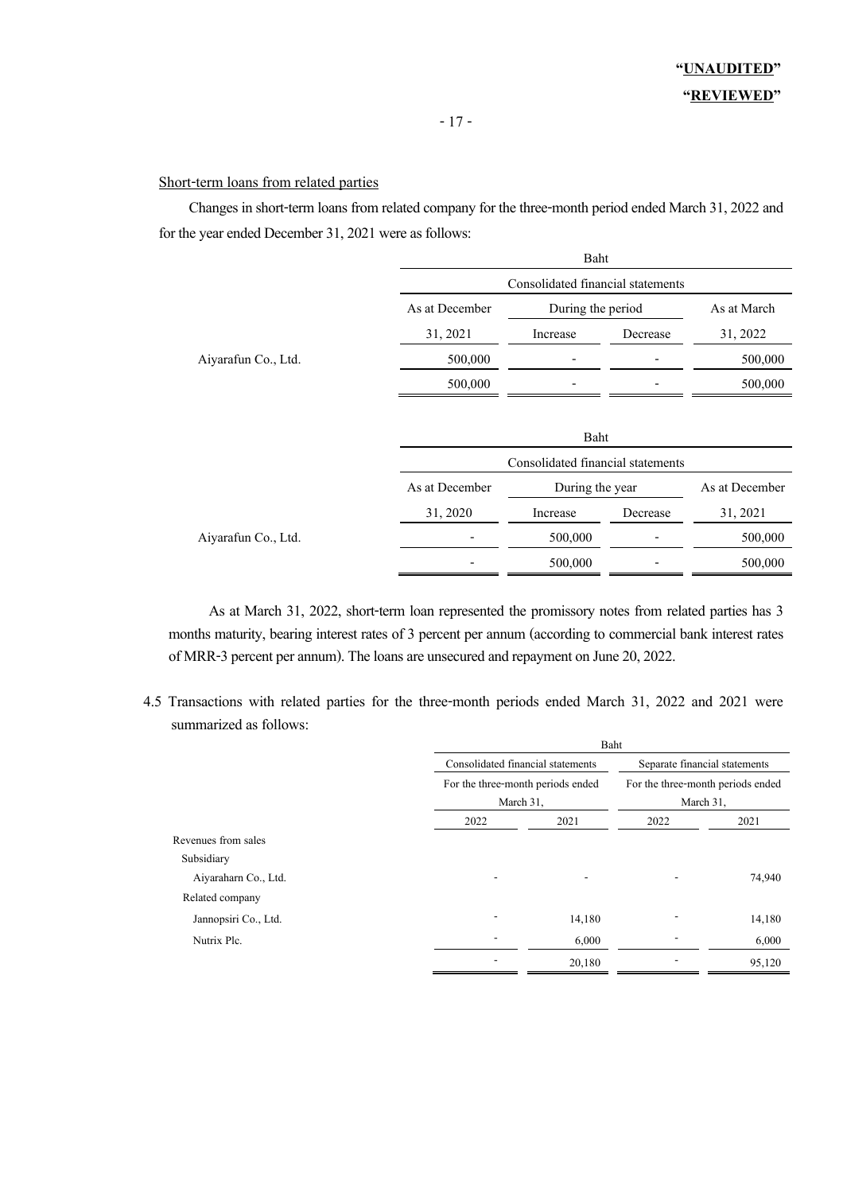#### Short-term loans from related parties

 Changes in short-term loans from related company for the three-month period ended March 31, 2022 and for the year ended December 31, 2021 were as follows:

|                     |                | Baht                              |          |                |  |  |
|---------------------|----------------|-----------------------------------|----------|----------------|--|--|
|                     |                | Consolidated financial statements |          |                |  |  |
|                     | As at December | During the period                 |          | As at March    |  |  |
|                     | 31, 2021       | Increase                          | Decrease | 31, 2022       |  |  |
| Aiyarafun Co., Ltd. | 500,000        |                                   |          | 500,000        |  |  |
|                     | 500,000        | $\overline{\phantom{a}}$          |          | 500,000        |  |  |
|                     |                |                                   |          |                |  |  |
|                     |                | Baht                              |          |                |  |  |
|                     |                | Consolidated financial statements |          |                |  |  |
|                     | As at December | During the year                   |          | As at December |  |  |
|                     | 31, 2020       | Increase                          | Decrease | 31, 2021       |  |  |
| Aiyarafun Co., Ltd. |                | 500,000                           |          | 500,000        |  |  |

As at March 31, 2022, short-term loan represented the promissory notes from related parties has 3 months maturity, bearing interest rates of 3 percent per annum (according to commercial bank interest rates of MRR-3 percent per annum). The loans are unsecured and repayment on June 20, 2022.

- 500,000 - 500,000

4.5 Transactions with related parties for the three-month periods ended March 31, 2022 and 2021 were summarized as follows:

|                      |                                   | Baht   |                                                |        |
|----------------------|-----------------------------------|--------|------------------------------------------------|--------|
|                      | Consolidated financial statements |        | Separate financial statements                  |        |
|                      | For the three-month periods ended |        | For the three-month periods ended<br>March 31, |        |
|                      | March 31.                         |        |                                                |        |
|                      | 2022                              | 2021   | 2022                                           | 2021   |
| Revenues from sales  |                                   |        |                                                |        |
| Subsidiary           |                                   |        |                                                |        |
| Aiyaraharn Co., Ltd. | -                                 | ۰      |                                                | 74,940 |
| Related company      |                                   |        |                                                |        |
| Jannopsiri Co., Ltd. |                                   | 14,180 |                                                | 14,180 |
| Nutrix Plc.          | -                                 | 6,000  | -                                              | 6,000  |
|                      |                                   | 20,180 |                                                | 95,120 |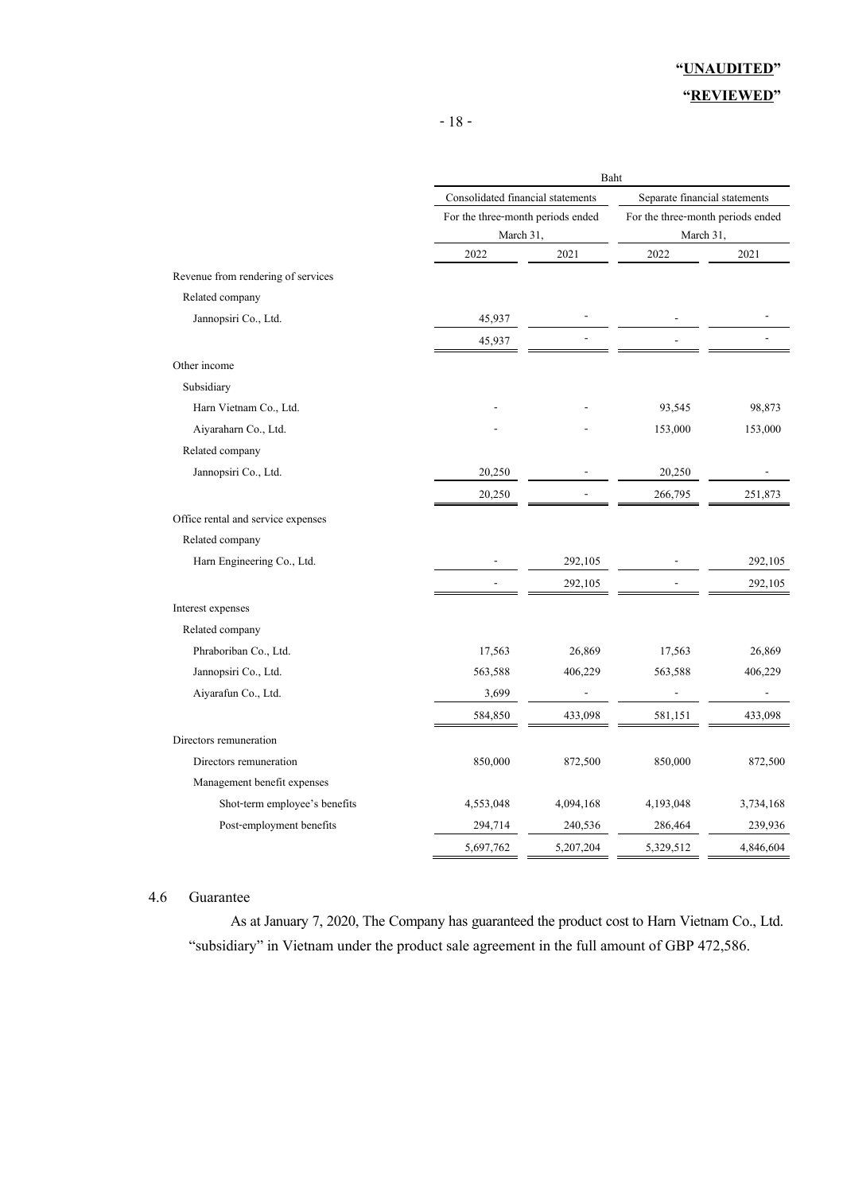### **"UNAUDITED" "REVIEWED"**

|                                    |                                   | Baht                              |                               |                                   |  |
|------------------------------------|-----------------------------------|-----------------------------------|-------------------------------|-----------------------------------|--|
|                                    | Consolidated financial statements |                                   | Separate financial statements |                                   |  |
|                                    |                                   | For the three-month periods ended |                               | For the three-month periods ended |  |
|                                    | March 31,                         |                                   | March 31,                     |                                   |  |
|                                    | 2022                              | 2021                              | 2022                          | 2021                              |  |
| Revenue from rendering of services |                                   |                                   |                               |                                   |  |
| Related company                    |                                   |                                   |                               |                                   |  |
| Jannopsiri Co., Ltd.               | 45,937                            |                                   |                               |                                   |  |
|                                    | 45,937                            |                                   |                               |                                   |  |
| Other income                       |                                   |                                   |                               |                                   |  |
| Subsidiary                         |                                   |                                   |                               |                                   |  |
| Harn Vietnam Co., Ltd.             |                                   |                                   | 93,545                        | 98,873                            |  |
| Aiyaraharn Co., Ltd.               |                                   |                                   | 153,000                       | 153,000                           |  |
| Related company                    |                                   |                                   |                               |                                   |  |
| Jannopsiri Co., Ltd.               | 20,250                            |                                   | 20,250                        |                                   |  |
|                                    | 20,250                            |                                   | 266,795                       | 251,873                           |  |
| Office rental and service expenses |                                   |                                   |                               |                                   |  |
| Related company                    |                                   |                                   |                               |                                   |  |
| Harn Engineering Co., Ltd.         |                                   | 292,105                           |                               | 292,105                           |  |
|                                    |                                   | 292,105                           |                               | 292,105                           |  |
| Interest expenses                  |                                   |                                   |                               |                                   |  |
| Related company                    |                                   |                                   |                               |                                   |  |
| Phraboriban Co., Ltd.              | 17,563                            | 26,869                            | 17,563                        | 26,869                            |  |
| Jannopsiri Co., Ltd.               | 563,588                           | 406,229                           | 563,588                       | 406,229                           |  |
| Aiyarafun Co., Ltd.                | 3,699                             |                                   |                               |                                   |  |
|                                    | 584,850                           | 433,098                           | 581,151                       | 433,098                           |  |
| Directors remuneration             |                                   |                                   |                               |                                   |  |
| Directors remuneration             | 850,000                           | 872,500                           | 850,000                       | 872,500                           |  |
| Management benefit expenses        |                                   |                                   |                               |                                   |  |
| Shot-term employee's benefits      | 4,553,048                         | 4,094,168                         | 4,193,048                     | 3,734,168                         |  |
| Post-employment benefits           | 294,714                           | 240,536                           | 286,464                       | 239,936                           |  |
|                                    | 5,697,762                         | 5,207,204                         | 5,329,512                     | 4,846,604                         |  |

#### 4.6 Guarantee

 As at January 7, 2020, The Company has guaranteed the product cost to Harn Vietnam Co., Ltd. "subsidiary" in Vietnam under the product sale agreement in the full amount of GBP 472,586.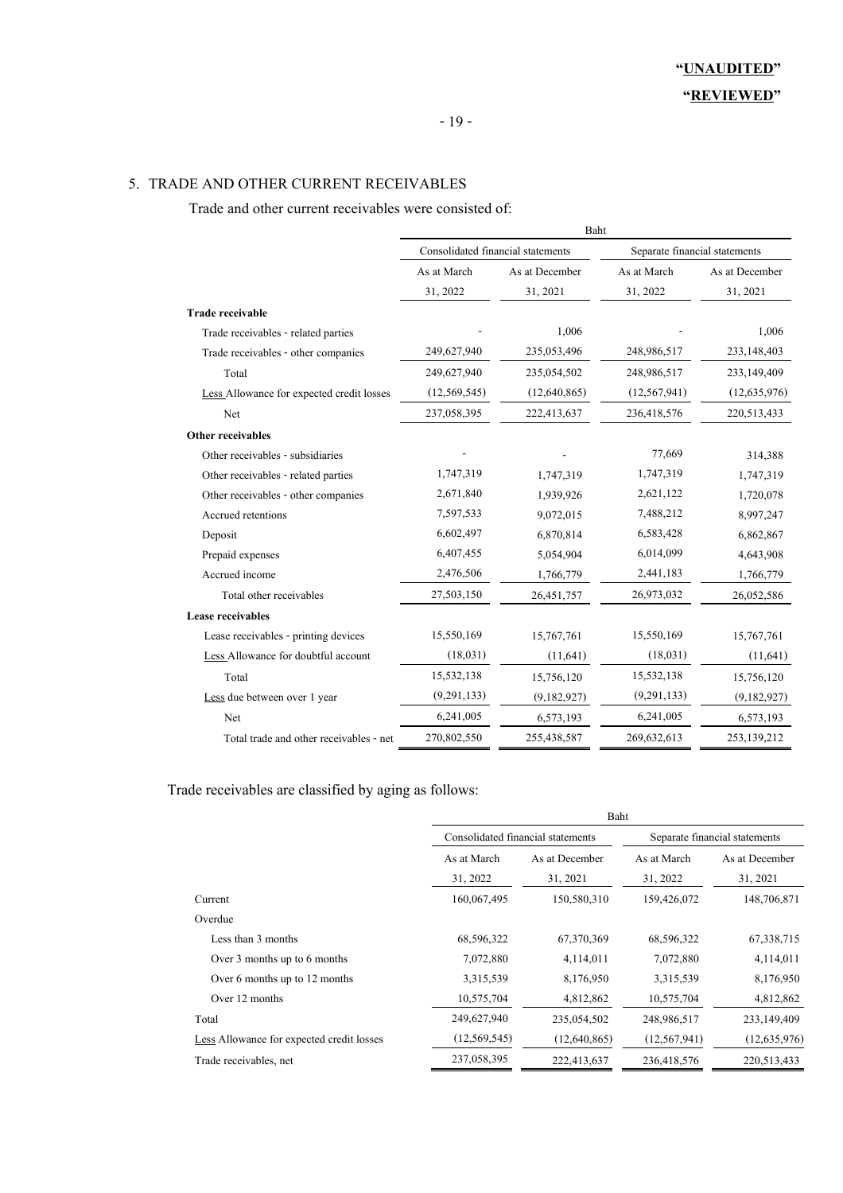#### 5. TRADE AND OTHER CURRENT RECEIVABLES

Trade and other current receivables were consisted of:

|                                           | Baht                              |                |                               |                |  |
|-------------------------------------------|-----------------------------------|----------------|-------------------------------|----------------|--|
|                                           | Consolidated financial statements |                | Separate financial statements |                |  |
|                                           | As at March                       | As at December | As at March                   | As at December |  |
|                                           | 31, 2022                          | 31, 2021       | 31, 2022                      | 31, 2021       |  |
| <b>Trade receivable</b>                   |                                   |                |                               |                |  |
| Trade receivables - related parties       |                                   | 1,006          |                               | 1,006          |  |
| Trade receivables - other companies       | 249,627,940                       | 235,053,496    | 248,986,517                   | 233,148,403    |  |
| Total                                     | 249,627,940                       | 235,054,502    | 248,986,517                   | 233,149,409    |  |
| Less Allowance for expected credit losses | (12, 569, 545)                    | (12,640,865)   | (12, 567, 941)                | (12, 635, 976) |  |
| Net                                       | 237,058,395                       | 222,413,637    | 236,418,576                   | 220, 513, 433  |  |
| Other receivables                         |                                   |                |                               |                |  |
| Other receivables - subsidiaries          |                                   |                | 77,669                        | 314,388        |  |
| Other receivables - related parties       | 1,747,319                         | 1,747,319      | 1,747,319                     | 1,747,319      |  |
| Other receivables - other companies       | 2,671,840                         | 1,939,926      | 2,621,122                     | 1,720,078      |  |
| Accrued retentions                        | 7,597,533                         | 9,072,015      | 7,488,212                     | 8,997,247      |  |
| Deposit                                   | 6,602,497                         | 6,870,814      | 6,583,428                     | 6,862,867      |  |
| Prepaid expenses                          | 6,407,455                         | 5,054,904      | 6,014,099                     | 4,643,908      |  |
| Accrued income                            | 2,476,506                         | 1,766,779      | 2,441,183                     | 1,766,779      |  |
| Total other receivables                   | 27,503,150                        | 26,451,757     | 26,973,032                    | 26,052,586     |  |
| Lease receivables                         |                                   |                |                               |                |  |
| Lease receivables - printing devices      | 15,550,169                        | 15,767,761     | 15,550,169                    | 15,767,761     |  |
| Less Allowance for doubtful account       | (18,031)                          | (11,641)       | (18, 031)                     | (11,641)       |  |
| Total                                     | 15,532,138                        | 15,756,120     | 15,532,138                    | 15,756,120     |  |
| Less due between over 1 year              | (9, 291, 133)                     | (9,182,927)    | (9,291,133)                   | (9,182,927)    |  |
| Net                                       | 6,241,005                         | 6,573,193      | 6,241,005                     | 6,573,193      |  |
| Total trade and other receivables - net   | 270,802,550                       | 255,438,587    | 269,632,613                   | 253,139,212    |  |

Trade receivables are classified by aging as follows:

|                                           | Baht                    |                                   |                         |                               |
|-------------------------------------------|-------------------------|-----------------------------------|-------------------------|-------------------------------|
|                                           |                         | Consolidated financial statements |                         | Separate financial statements |
|                                           | As at March<br>31, 2022 | As at December<br>31, 2021        | As at March<br>31, 2022 | As at December<br>31, 2021    |
| Current                                   | 160,067,495             | 150,580,310                       | 159,426,072             | 148,706,871                   |
| Overdue                                   |                         |                                   |                         |                               |
| Less than 3 months                        | 68,596,322              | 67,370,369                        | 68,596,322              | 67, 338, 715                  |
| Over 3 months up to 6 months              | 7,072,880               | 4,114,011                         | 7,072,880               | 4,114,011                     |
| Over 6 months up to 12 months             | 3,315,539               | 8,176,950                         | 3,315,539               | 8,176,950                     |
| Over 12 months                            | 10,575,704              | 4,812,862                         | 10,575,704              | 4,812,862                     |
| Total                                     | 249,627,940             | 235,054,502                       | 248,986,517             | 233,149,409                   |
| Less Allowance for expected credit losses | (12, 569, 545)          | (12,640,865)                      | (12, 567, 941)          | (12, 635, 976)                |
| Trade receivables, net                    | 237,058,395             | 222,413,637                       | 236,418,576             | 220, 513, 433                 |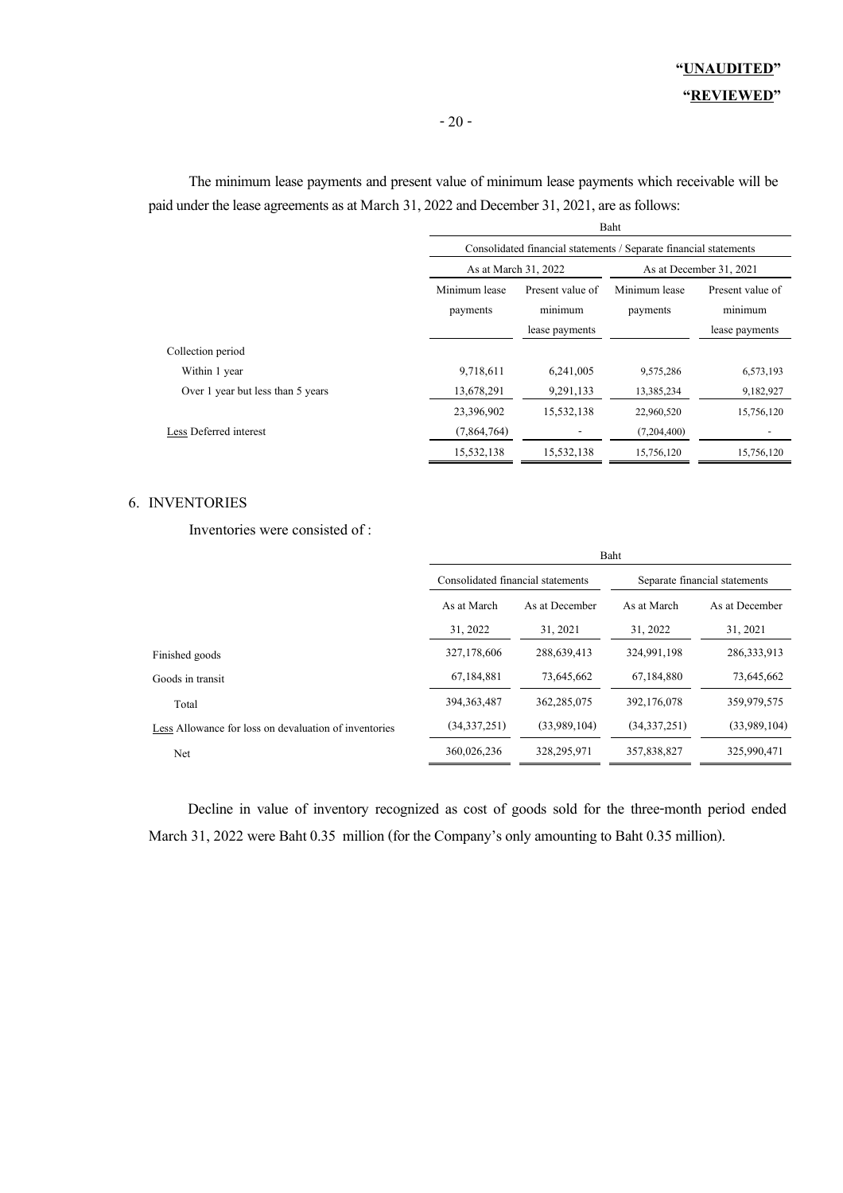### **"UNAUDITED" "REVIEWED"**

The minimum lease payments and present value of minimum lease payments which receivable will be paid under the lease agreements as at March 31, 2022 and December 31, 2021, are as follows:

|                                   | Baht                      |                                                                   |                           |                             |  |  |
|-----------------------------------|---------------------------|-------------------------------------------------------------------|---------------------------|-----------------------------|--|--|
|                                   |                           | Consolidated financial statements / Separate financial statements |                           |                             |  |  |
|                                   | As at March 31, 2022      |                                                                   | As at December 31, 2021   |                             |  |  |
|                                   | Minimum lease<br>payments | Present value of<br>minimum                                       | Minimum lease<br>payments | Present value of<br>minimum |  |  |
|                                   |                           | lease payments                                                    |                           | lease payments              |  |  |
| Collection period                 |                           |                                                                   |                           |                             |  |  |
| Within 1 year                     | 9,718,611                 | 6,241,005                                                         | 9,575,286                 | 6,573,193                   |  |  |
| Over 1 year but less than 5 years | 13,678,291                | 9,291,133                                                         | 13,385,234                | 9,182,927                   |  |  |
|                                   | 23,396,902                | 15,532,138                                                        | 22,960,520                | 15,756,120                  |  |  |
| Less Deferred interest            | (7,864,764)               |                                                                   | (7,204,400)               |                             |  |  |
|                                   | 15,532,138                | 15,532,138                                                        | 15,756,120                | 15,756,120                  |  |  |
|                                   |                           |                                                                   |                           |                             |  |  |

#### 6. INVENTORIES

Inventories were consisted of :

|                                                       | Baht                              |                |                               |                |
|-------------------------------------------------------|-----------------------------------|----------------|-------------------------------|----------------|
|                                                       | Consolidated financial statements |                | Separate financial statements |                |
|                                                       | As at March                       | As at December | As at March                   | As at December |
|                                                       | 31, 2022                          | 31, 2021       | 31, 2022                      | 31, 2021       |
| Finished goods                                        | 327,178,606                       | 288,639,413    | 324,991,198                   | 286, 333, 913  |
| Goods in transit                                      | 67, 184, 881                      | 73,645,662     | 67,184,880                    | 73,645,662     |
| Total                                                 | 394, 363, 487                     | 362, 285, 075  | 392,176,078                   | 359,979,575    |
| Less Allowance for loss on devaluation of inventories | (34, 337, 251)                    | (33,989,104)   | (34.337.251)                  | (33,989,104)   |
| Net                                                   | 360,026,236                       | 328,295,971    | 357,838,827                   | 325,990,471    |

Decline in value of inventory recognized as cost of goods sold for the three-month period ended March 31, 2022 were Baht 0.35 million (for the Company's only amounting to Baht 0.35 million).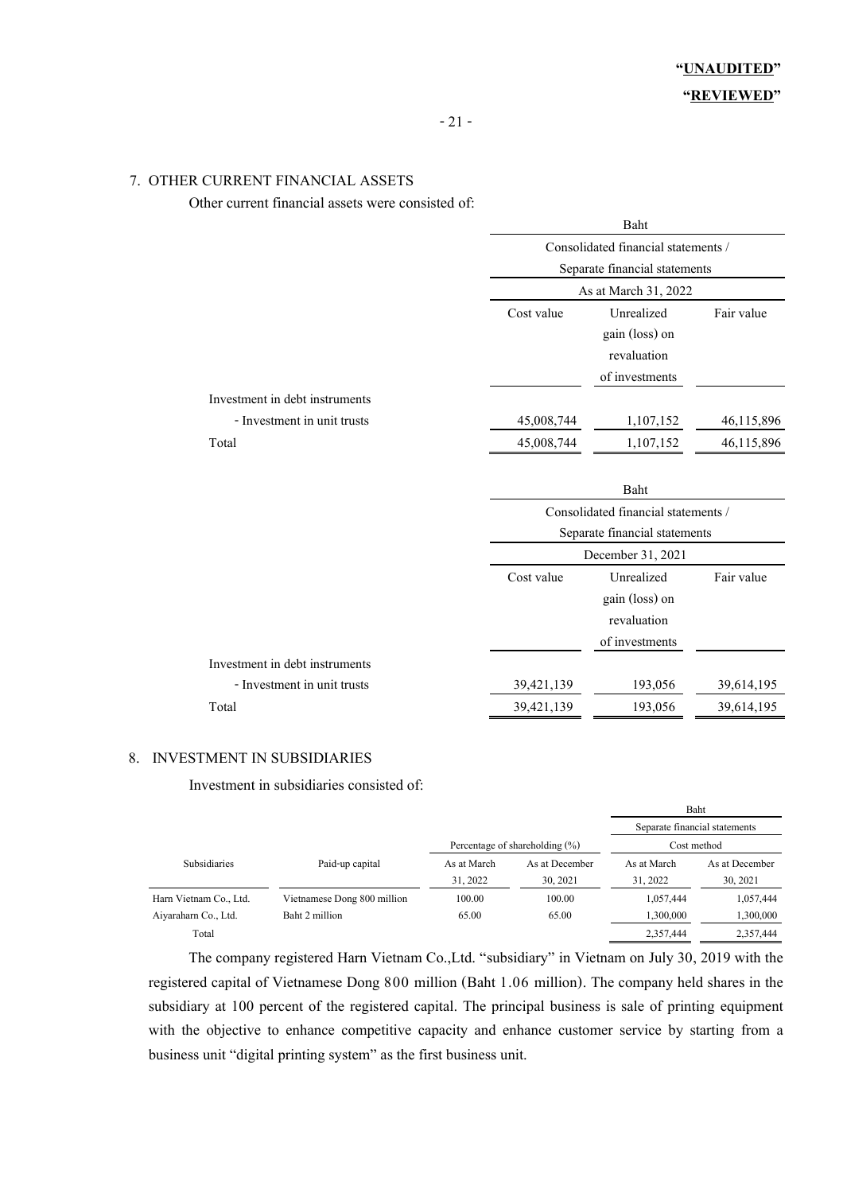#### 7. OTHER CURRENT FINANCIAL ASSETS

Other current financial assets were consisted of:

|                                | Baht                                |                                     |            |  |
|--------------------------------|-------------------------------------|-------------------------------------|------------|--|
|                                | Consolidated financial statements / |                                     |            |  |
|                                |                                     | Separate financial statements       |            |  |
|                                |                                     | As at March 31, 2022                |            |  |
|                                | Cost value                          | Unrealized                          |            |  |
|                                |                                     | gain (loss) on                      |            |  |
|                                |                                     | revaluation                         |            |  |
|                                |                                     | of investments                      |            |  |
| Investment in debt instruments |                                     |                                     |            |  |
| - Investment in unit trusts    | 45,008,744                          | 1,107,152                           | 46,115,896 |  |
| Total                          | 45,008,744                          | 1,107,152                           | 46,115,896 |  |
|                                |                                     |                                     |            |  |
|                                | Baht                                |                                     |            |  |
|                                |                                     | Consolidated financial statements / |            |  |
|                                |                                     | Separate financial statements       |            |  |
|                                |                                     | December 31, 2021                   |            |  |
|                                | Cost value                          | Unrealized                          | Fair value |  |
|                                |                                     | gain (loss) on                      |            |  |
|                                |                                     | revaluation                         |            |  |
|                                |                                     | of investments                      |            |  |
| .                              |                                     |                                     |            |  |

| Investment in debt instruments |            |         |            |
|--------------------------------|------------|---------|------------|
| - Investment in unit trusts    | 39,421,139 | 193,056 | 39,614,195 |
| Total                          | 39,421,139 | 193,056 | 39,614,195 |

#### 8. INVESTMENT IN SUBSIDIARIES

Investment in subsidiaries consisted of:

|                        |                             |             |                                    | Baht        |                               |
|------------------------|-----------------------------|-------------|------------------------------------|-------------|-------------------------------|
|                        |                             |             |                                    |             | Separate financial statements |
|                        |                             |             | Percentage of shareholding $(\% )$ |             | Cost method                   |
| <b>Subsidiaries</b>    | Paid-up capital             | As at March | As at December                     | As at March | As at December                |
|                        |                             | 31, 2022    | 30, 2021                           | 31, 2022    | 30, 2021                      |
| Harn Vietnam Co., Ltd. | Vietnamese Dong 800 million | 100.00      | 100.00                             | 1,057,444   | 1,057,444                     |
| Aiyaraharn Co., Ltd.   | Baht 2 million              | 65.00       | 65.00                              | 1,300,000   | 1,300,000                     |
| Total                  |                             |             |                                    | 2,357,444   | 2,357,444                     |

The company registered Harn Vietnam Co.,Ltd. "subsidiary" in Vietnam on July 30, 2019 with the registered capital of Vietnamese Dong 800 million (Baht 1.06 million). The company held shares in the subsidiary at 100 percent of the registered capital. The principal business is sale of printing equipment with the objective to enhance competitive capacity and enhance customer service by starting from a business unit "digital printing system" as the first business unit.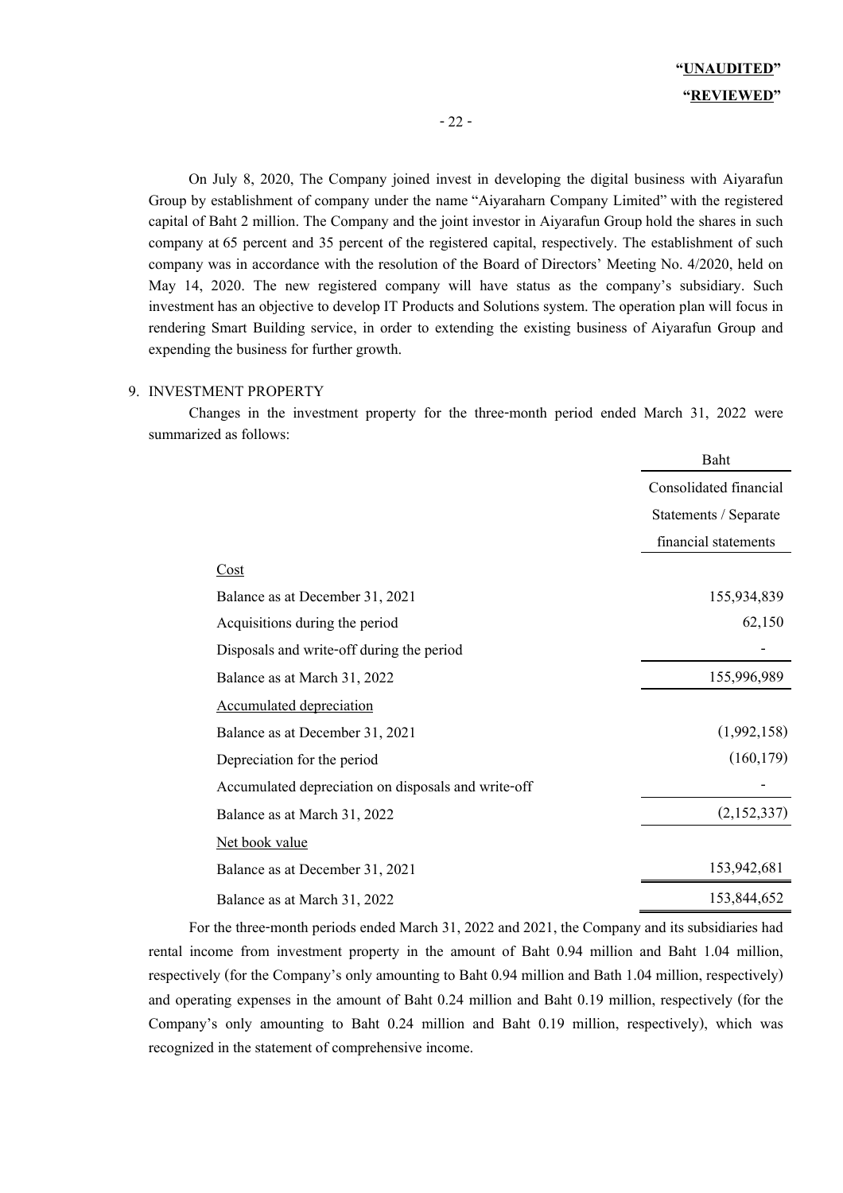On July 8, 2020, The Company joined invest in developing the digital business with Aiyarafun Group by establishment of company under the name "Aiyaraharn Company Limited" with the registered capital of Baht 2 million. The Company and the joint investor in Aiyarafun Group hold the shares in such company at 65 percent and 35 percent of the registered capital, respectively. The establishment of such company was in accordance with the resolution of the Board of Directors' Meeting No. 4/2020, held on May 14, 2020. The new registered company will have status as the company's subsidiary. Such investment has an objective to develop IT Products and Solutions system. The operation plan will focus in rendering Smart Building service, in order to extending the existing business of Aiyarafun Group and expending the business for further growth.

#### 9. INVESTMENT PROPERTY

 Changes in the investment property for the three-month period ended March 31, 2022 were summarized as follows:

|                                                     | Baht                   |
|-----------------------------------------------------|------------------------|
|                                                     | Consolidated financial |
|                                                     | Statements / Separate  |
|                                                     | financial statements   |
| Cost                                                |                        |
| Balance as at December 31, 2021                     | 155,934,839            |
| Acquisitions during the period                      | 62,150                 |
| Disposals and write-off during the period           |                        |
| Balance as at March 31, 2022                        | 155,996,989            |
| <b>Accumulated depreciation</b>                     |                        |
| Balance as at December 31, 2021                     | (1,992,158)            |
| Depreciation for the period                         | (160, 179)             |
| Accumulated depreciation on disposals and write-off |                        |
| Balance as at March 31, 2022                        | (2,152,337)            |
| Net book value                                      |                        |
| Balance as at December 31, 2021                     | 153,942,681            |
| Balance as at March 31, 2022                        | 153,844,652            |

 For the three-month periods ended March 31, 2022 and 2021, the Company and its subsidiaries had rental income from investment property in the amount of Baht 0.94 million and Baht 1.04 million, respectively (for the Company's only amounting to Baht 0.94 million and Bath 1.04 million, respectively) and operating expenses in the amount of Baht 0.24 million and Baht 0.19 million, respectively (for the Company's only amounting to Baht 0.24 million and Baht 0.19 million, respectively), which was recognized in the statement of comprehensive income.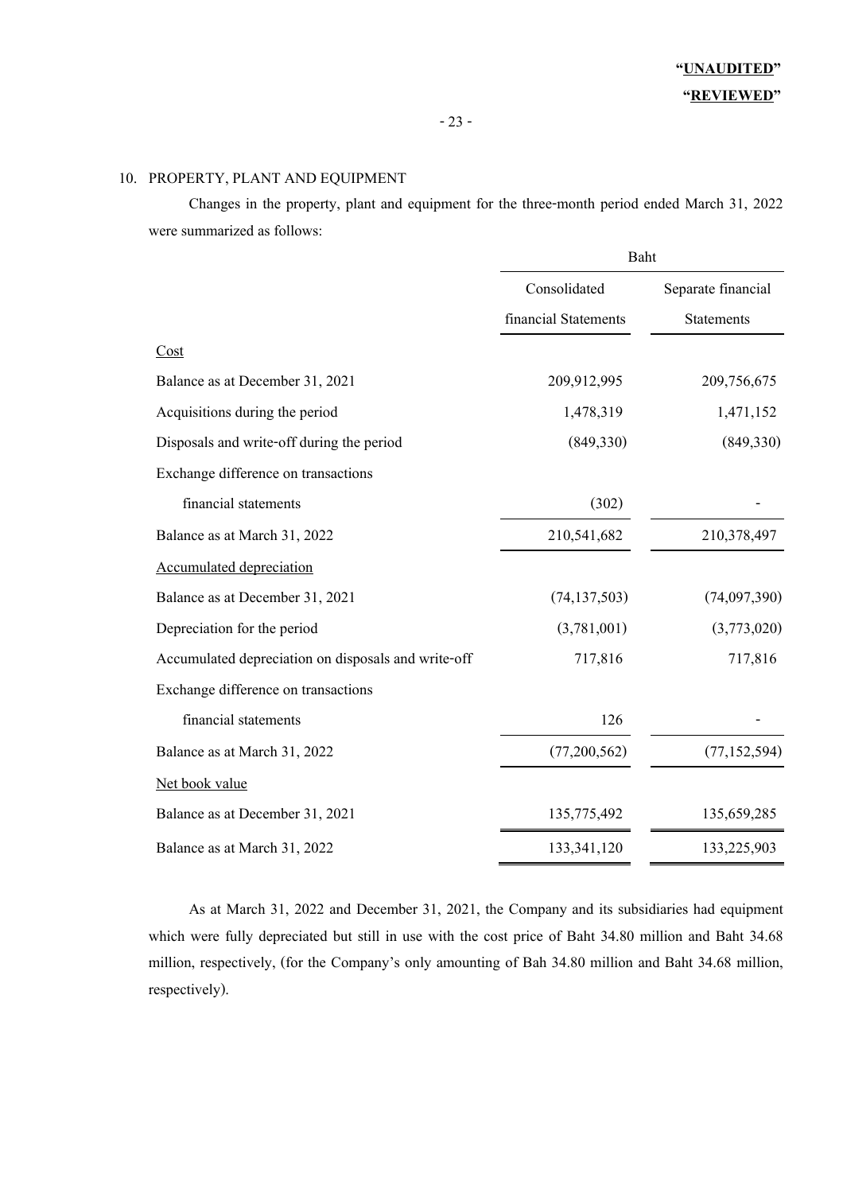#### 10. PROPERTY, PLANT AND EQUIPMENT

 Changes in the property, plant and equipment for the three-month period ended March 31, 2022 were summarized as follows:

|                                                     | <b>Baht</b>          |                    |  |
|-----------------------------------------------------|----------------------|--------------------|--|
|                                                     | Consolidated         | Separate financial |  |
|                                                     | financial Statements | <b>Statements</b>  |  |
| Cost                                                |                      |                    |  |
| Balance as at December 31, 2021                     | 209,912,995          | 209,756,675        |  |
| Acquisitions during the period                      | 1,478,319            | 1,471,152          |  |
| Disposals and write-off during the period           | (849,330)            | (849,330)          |  |
| Exchange difference on transactions                 |                      |                    |  |
| financial statements                                | (302)                |                    |  |
| Balance as at March 31, 2022                        | 210,541,682          | 210,378,497        |  |
| <b>Accumulated depreciation</b>                     |                      |                    |  |
| Balance as at December 31, 2021                     | (74, 137, 503)       | (74,097,390)       |  |
| Depreciation for the period                         | (3,781,001)          | (3,773,020)        |  |
| Accumulated depreciation on disposals and write-off | 717,816              | 717,816            |  |
| Exchange difference on transactions                 |                      |                    |  |
| financial statements                                | 126                  |                    |  |
| Balance as at March 31, 2022                        | (77,200,562)         | (77, 152, 594)     |  |
| Net book value                                      |                      |                    |  |
| Balance as at December 31, 2021                     | 135,775,492          | 135,659,285        |  |
| Balance as at March 31, 2022                        | 133, 341, 120        | 133,225,903        |  |

 As at March 31, 2022 and December 31, 2021, the Company and its subsidiaries had equipment which were fully depreciated but still in use with the cost price of Baht 34.80 million and Baht 34.68 million, respectively, (for the Company's only amounting of Bah 34.80 million and Baht 34.68 million, respectively).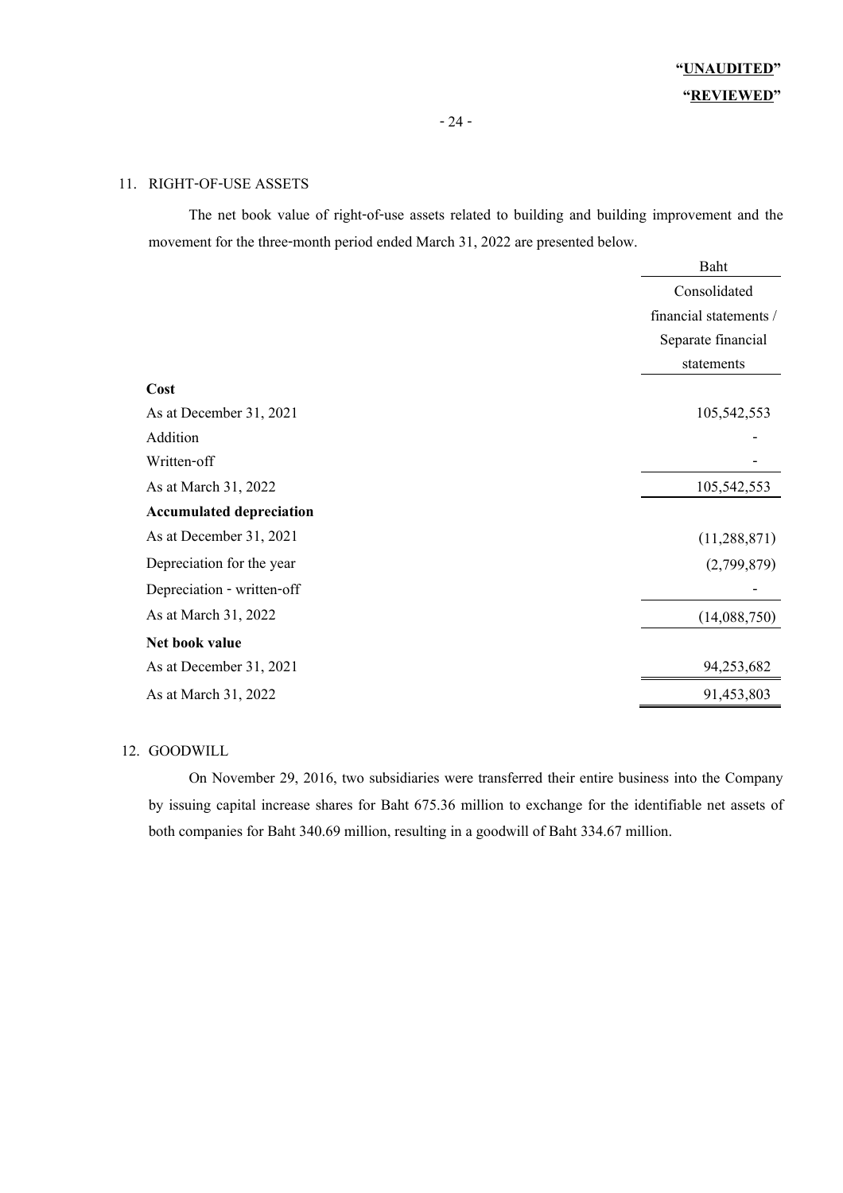#### 11. RIGHT-OF-USE ASSETS

The net book value of right-of-use assets related to building and building improvement and the movement for the three-month period ended March 31, 2022 are presented below.

|                                 | Baht                   |
|---------------------------------|------------------------|
|                                 | Consolidated           |
|                                 | financial statements / |
|                                 | Separate financial     |
|                                 | statements             |
| Cost                            |                        |
| As at December 31, 2021         | 105,542,553            |
| Addition                        |                        |
| Written-off                     |                        |
| As at March 31, 2022            | 105,542,553            |
| <b>Accumulated depreciation</b> |                        |
| As at December 31, 2021         | (11, 288, 871)         |
| Depreciation for the year       | (2,799,879)            |
| Depreciation - written-off      |                        |
| As at March 31, 2022            | (14,088,750)           |
| Net book value                  |                        |
| As at December 31, 2021         | 94,253,682             |
| As at March 31, 2022            | 91,453,803             |

#### 12. GOODWILL

 On November 29, 2016, two subsidiaries were transferred their entire business into the Company by issuing capital increase shares for Baht 675.36 million to exchange for the identifiable net assets of both companies for Baht 340.69 million, resulting in a goodwill of Baht 334.67 million.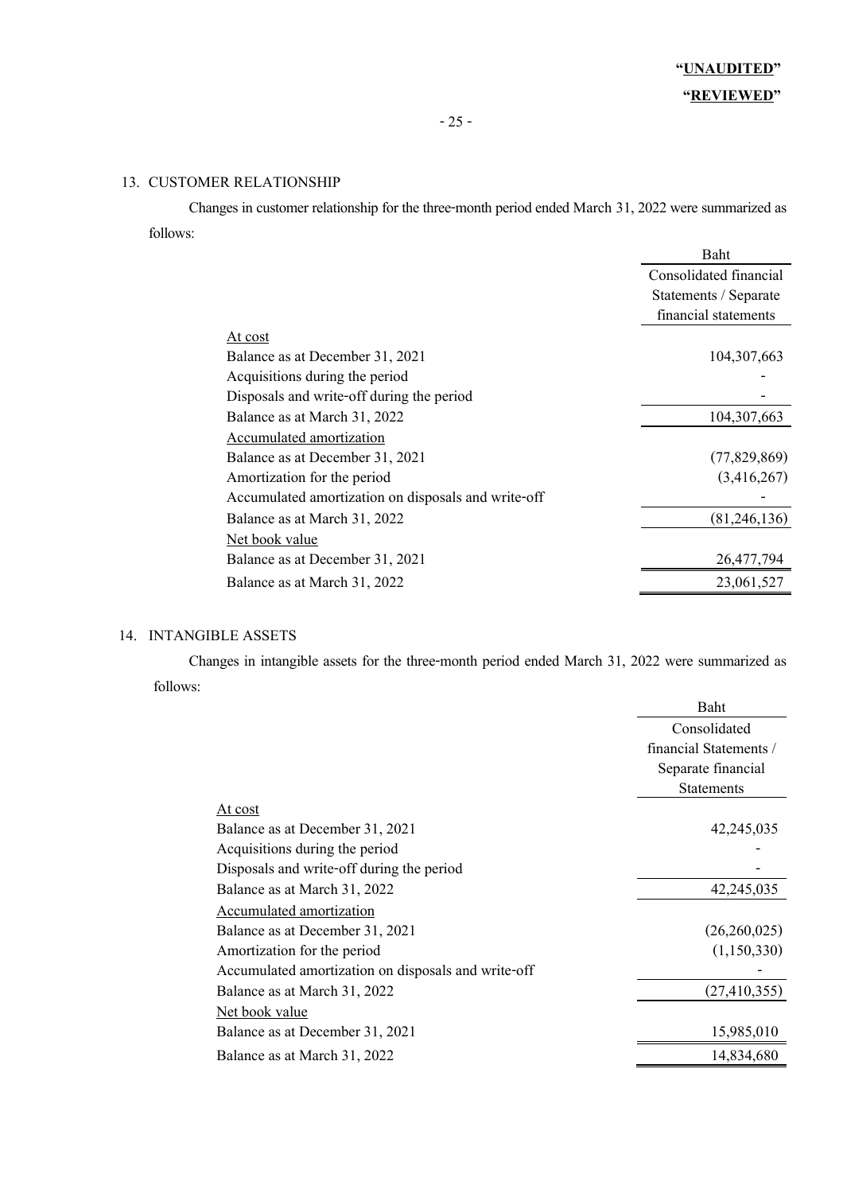#### 13. CUSTOMER RELATIONSHIP

 Changes in customer relationship for the three-month period ended March 31, 2022 were summarized as follows:

|                                                     | <b>Baht</b>            |
|-----------------------------------------------------|------------------------|
|                                                     | Consolidated financial |
|                                                     | Statements / Separate  |
|                                                     | financial statements   |
| At cost                                             |                        |
| Balance as at December 31, 2021                     | 104, 307, 663          |
| Acquisitions during the period                      |                        |
| Disposals and write-off during the period           |                        |
| Balance as at March 31, 2022                        | 104,307,663            |
| Accumulated amortization                            |                        |
| Balance as at December 31, 2021                     | (77,829,869)           |
| Amortization for the period                         | (3,416,267)            |
| Accumulated amortization on disposals and write-off |                        |
| Balance as at March 31, 2022                        | (81, 246, 136)         |
| Net book value                                      |                        |
| Balance as at December 31, 2021                     | 26,477,794             |
| Balance as at March 31, 2022                        | 23,061,527             |
|                                                     |                        |

#### 14. INTANGIBLE ASSETS

 Changes in intangible assets for the three-month period ended March 31, 2022 were summarized as follows:

|                                                     | <b>Baht</b>            |
|-----------------------------------------------------|------------------------|
|                                                     | Consolidated           |
|                                                     | financial Statements / |
|                                                     | Separate financial     |
|                                                     | <b>Statements</b>      |
| At cost                                             |                        |
| Balance as at December 31, 2021                     | 42,245,035             |
| Acquisitions during the period                      |                        |
| Disposals and write-off during the period           |                        |
| Balance as at March 31, 2022                        | 42,245,035             |
| Accumulated amortization                            |                        |
| Balance as at December 31, 2021                     | (26,260,025)           |
| Amortization for the period                         | (1,150,330)            |
| Accumulated amortization on disposals and write-off |                        |
| Balance as at March 31, 2022                        | (27, 410, 355)         |
| Net book value                                      |                        |
| Balance as at December 31, 2021                     | 15,985,010             |
| Balance as at March 31, 2022                        | 14,834,680             |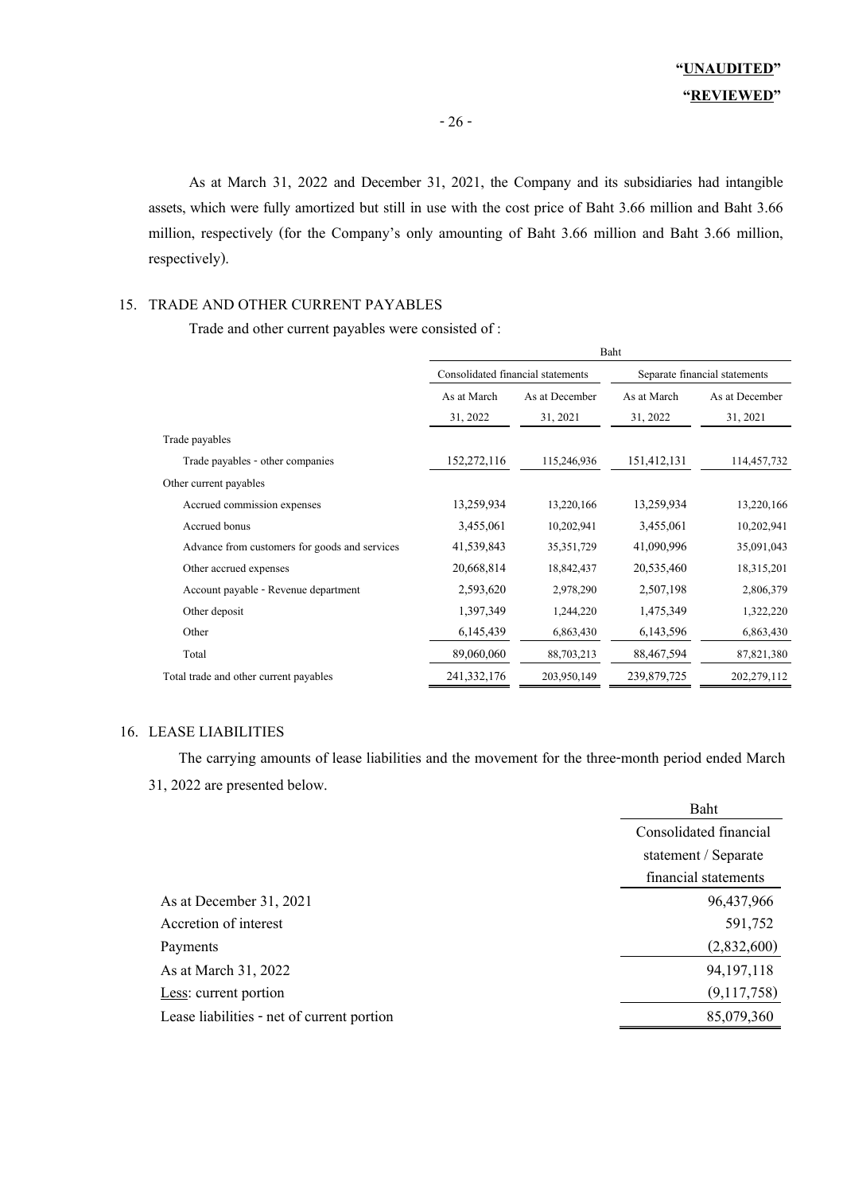As at March 31, 2022 and December 31, 2021, the Company and its subsidiaries had intangible assets, which were fully amortized but still in use with the cost price of Baht 3.66 million and Baht 3.66 million, respectively (for the Company's only amounting of Baht 3.66 million and Baht 3.66 million, respectively).

#### 15. TRADE AND OTHER CURRENT PAYABLES

Trade and other current payables were consisted of :

|                                               | <b>Baht</b>                       |                |              |                               |
|-----------------------------------------------|-----------------------------------|----------------|--------------|-------------------------------|
|                                               | Consolidated financial statements |                |              | Separate financial statements |
|                                               | As at March                       | As at December | As at March  | As at December                |
|                                               | 31, 2022                          | 31, 2021       | 31, 2022     | 31, 2021                      |
| Trade payables                                |                                   |                |              |                               |
| Trade payables - other companies              | 152,272,116                       | 115,246,936    | 151,412,131  | 114,457,732                   |
| Other current payables                        |                                   |                |              |                               |
| Accrued commission expenses                   | 13,259,934                        | 13,220,166     | 13,259,934   | 13,220,166                    |
| Accrued bonus                                 | 3,455,061                         | 10,202,941     | 3,455,061    | 10,202,941                    |
| Advance from customers for goods and services | 41,539,843                        | 35, 351, 729   | 41,090,996   | 35,091,043                    |
| Other accrued expenses                        | 20,668,814                        | 18,842,437     | 20,535,460   | 18,315,201                    |
| Account payable - Revenue department          | 2,593,620                         | 2,978,290      | 2,507,198    | 2,806,379                     |
| Other deposit                                 | 1,397,349                         | 1,244,220      | 1,475,349    | 1,322,220                     |
| Other                                         | 6,145,439                         | 6,863,430      | 6, 143, 596  | 6,863,430                     |
| Total                                         | 89,060,060                        | 88,703,213     | 88, 467, 594 | 87,821,380                    |
| Total trade and other current payables        | 241, 332, 176                     | 203,950,149    | 239,879,725  | 202,279,112                   |

#### 16. LEASE LIABILITIES

The carrying amounts of lease liabilities and the movement for the three-month period ended March 31, 2022 are presented below.

|                                            | Baht                   |
|--------------------------------------------|------------------------|
|                                            | Consolidated financial |
|                                            | statement / Separate   |
|                                            | financial statements   |
| As at December 31, 2021                    | 96,437,966             |
| Accretion of interest                      | 591,752                |
| Payments                                   | (2,832,600)            |
| As at March 31, 2022                       | 94, 197, 118           |
| Less: current portion                      | (9,117,758)            |
| Lease liabilities - net of current portion | 85,079,360             |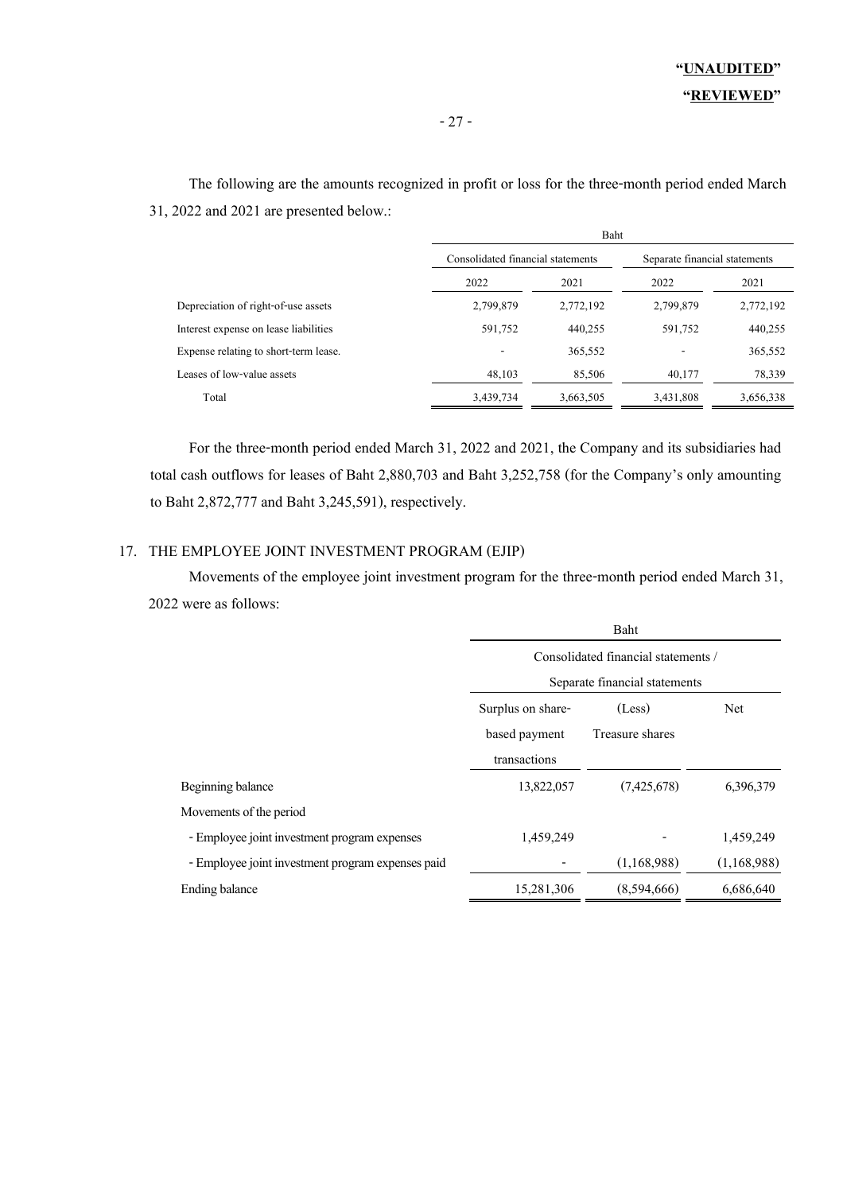### **"UNAUDITED" "REVIEWED"**

 The following are the amounts recognized in profit or loss for the three-month period ended March 31, 2022 and 2021 are presented below.:

|                                       | Baht                              |           |                               |           |
|---------------------------------------|-----------------------------------|-----------|-------------------------------|-----------|
|                                       | Consolidated financial statements |           | Separate financial statements |           |
|                                       | 2022                              | 2021      | 2022                          | 2021      |
| Depreciation of right-of-use assets   | 2,799,879                         | 2,772,192 | 2,799,879                     | 2,772,192 |
| Interest expense on lease liabilities | 591,752                           | 440,255   | 591,752                       | 440,255   |
| Expense relating to short-term lease. |                                   | 365,552   |                               | 365,552   |
| Leases of low-value assets            | 48,103                            | 85,506    | 40,177                        | 78,339    |
| Total                                 | 3,439,734                         | 3,663,505 | 3,431,808                     | 3,656,338 |

 For the three-month period ended March 31, 2022 and 2021, the Company and its subsidiaries had total cash outflows for leases of Baht 2,880,703 and Baht 3,252,758 (for the Company's only amounting to Baht 2,872,777 and Baht 3,245,591), respectively.

#### 17. THE EMPLOYEE JOINT INVESTMENT PROGRAM (EJIP)

 Movements of the employee joint investment program for the three-month period ended March 31, 2022 were as follows:

|                                                   | Baht                                |                 |             |  |  |  |  |
|---------------------------------------------------|-------------------------------------|-----------------|-------------|--|--|--|--|
|                                                   | Consolidated financial statements / |                 |             |  |  |  |  |
|                                                   | Separate financial statements       |                 |             |  |  |  |  |
|                                                   | Surplus on share-                   | (Less)          | Net         |  |  |  |  |
|                                                   | based payment                       | Treasure shares |             |  |  |  |  |
|                                                   | transactions                        |                 |             |  |  |  |  |
| Beginning balance                                 | 13,822,057                          | (7,425,678)     | 6,396,379   |  |  |  |  |
| Movements of the period                           |                                     |                 |             |  |  |  |  |
| - Employee joint investment program expenses      | 1,459,249                           |                 | 1,459,249   |  |  |  |  |
| - Employee joint investment program expenses paid |                                     | (1,168,988)     | (1,168,988) |  |  |  |  |
| Ending balance                                    | 15,281,306                          | (8,594,666)     | 6,686,640   |  |  |  |  |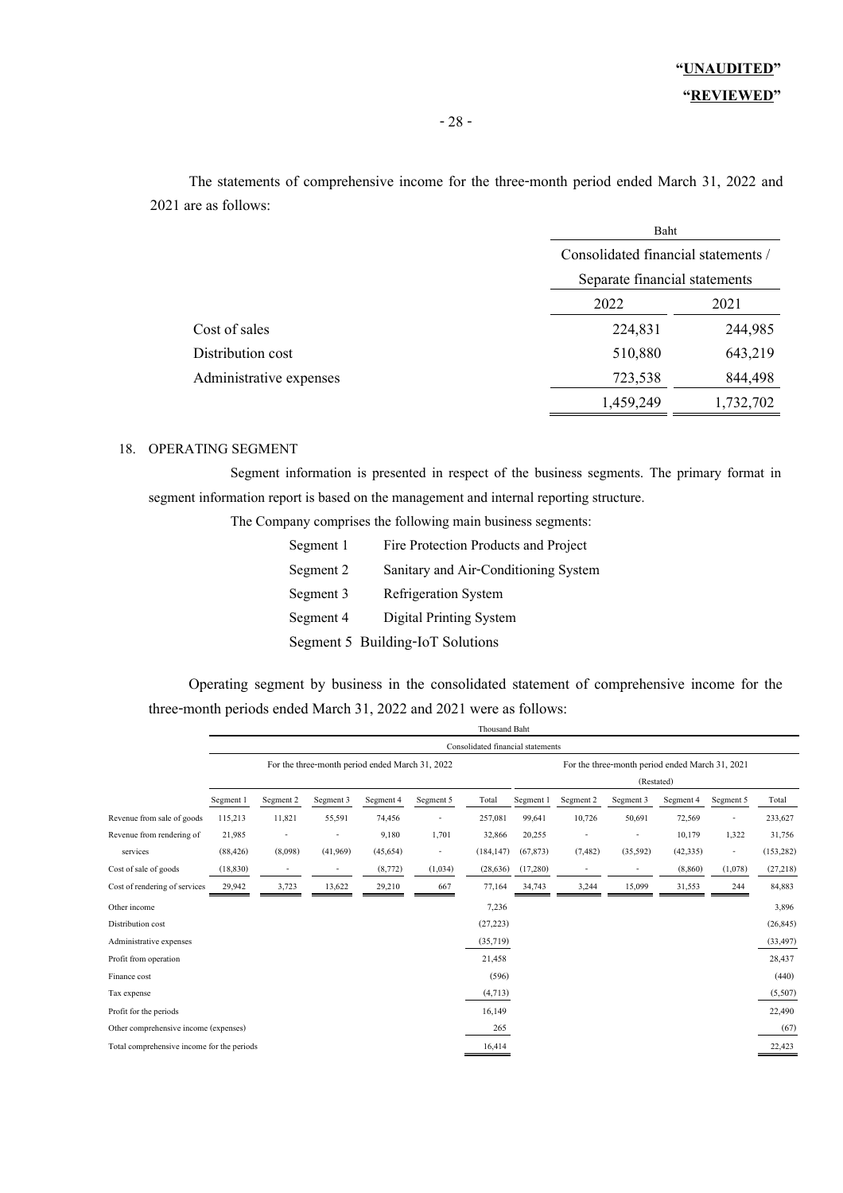The statements of comprehensive income for the three-month period ended March 31, 2022 and 2021 are as follows:

|                         | Baht                                |           |
|-------------------------|-------------------------------------|-----------|
|                         | Consolidated financial statements / |           |
|                         | Separate financial statements       |           |
|                         | 2022                                | 2021      |
| Cost of sales           | 224,831                             | 244,985   |
| Distribution cost       | 510,880                             | 643,219   |
| Administrative expenses | 723,538                             | 844,498   |
|                         | 1,459,249                           | 1,732,702 |

#### 18. OPERATING SEGMENT

 Segment information is presented in respect of the business segments. The primary format in segment information report is based on the management and internal reporting structure.

The Company comprises the following main business segments:

Segment 1 Fire Protection Products and Project Segment 2 Sanitary and Air-Conditioning System Segment 3 Refrigeration System Segment 4 Digital Printing System Segment 5 Building-IoT Solutions

Operating segment by business in the consolidated statement of comprehensive income for the three-month periods ended March 31, 2022 and 2021 were as follows:

|                                            |           |                                                 |           |           |           | <b>Thousand Baht</b>              |           |            |                                                 |           |                          |            |
|--------------------------------------------|-----------|-------------------------------------------------|-----------|-----------|-----------|-----------------------------------|-----------|------------|-------------------------------------------------|-----------|--------------------------|------------|
|                                            |           |                                                 |           |           |           | Consolidated financial statements |           |            |                                                 |           |                          |            |
|                                            |           | For the three-month period ended March 31, 2022 |           |           |           |                                   |           |            | For the three-month period ended March 31, 2021 |           |                          |            |
|                                            |           |                                                 |           |           |           |                                   |           | (Restated) |                                                 |           |                          |            |
|                                            | Segment 1 | Segment 2                                       | Segment 3 | Segment 4 | Segment 5 | Total                             | Segment 1 | Segment 2  | Segment 3                                       | Segment 4 | Segment 5                | Total      |
| Revenue from sale of goods                 | 115,213   | 11,821                                          | 55,591    | 74,456    |           | 257,081                           | 99,641    | 10,726     | 50,691                                          | 72,569    | $\overline{\phantom{a}}$ | 233,627    |
| Revenue from rendering of                  | 21,985    |                                                 |           | 9,180     | 1,701     | 32,866                            | 20,255    |            |                                                 | 10,179    | 1,322                    | 31,756     |
| services                                   | (88, 426) | (8,098)                                         | (41,969)  | (45, 654) |           | (184, 147)                        | (67, 873) | (7, 482)   | (35,592)                                        | (42, 335) | $\overline{\phantom{a}}$ | (153, 282) |
| Cost of sale of goods                      | (18, 830) | $\overline{a}$                                  | -         | (8, 772)  | (1,034)   | (28, 636)                         | (17,280)  | ٠          |                                                 | (8, 860)  | (1,078)                  | (27, 218)  |
| Cost of rendering of services              | 29,942    | 3,723                                           | 13,622    | 29,210    | 667       | 77,164                            | 34,743    | 3,244      | 15,099                                          | 31,553    | 244                      | 84,883     |
| Other income                               |           |                                                 |           |           |           | 7,236                             |           |            |                                                 |           |                          | 3,896      |
| Distribution cost                          |           |                                                 |           |           |           | (27, 223)                         |           |            |                                                 |           |                          | (26, 845)  |
| Administrative expenses                    |           |                                                 |           |           |           | (35,719)                          |           |            |                                                 |           |                          | (33, 497)  |
| Profit from operation                      |           |                                                 |           |           |           | 21,458                            |           |            |                                                 |           |                          | 28,437     |
| Finance cost                               |           |                                                 |           |           |           | (596)                             |           |            |                                                 |           |                          | (440)      |
| Tax expense                                |           |                                                 |           |           |           | (4,713)                           |           |            |                                                 |           |                          | (5,507)    |
| Profit for the periods                     |           |                                                 |           |           |           | 16,149                            |           |            |                                                 |           |                          | 22,490     |
| Other comprehensive income (expenses)      |           |                                                 |           |           |           | 265                               |           |            |                                                 |           |                          | (67)       |
| Total comprehensive income for the periods |           |                                                 |           |           |           | 16,414                            |           |            |                                                 |           |                          | 22,423     |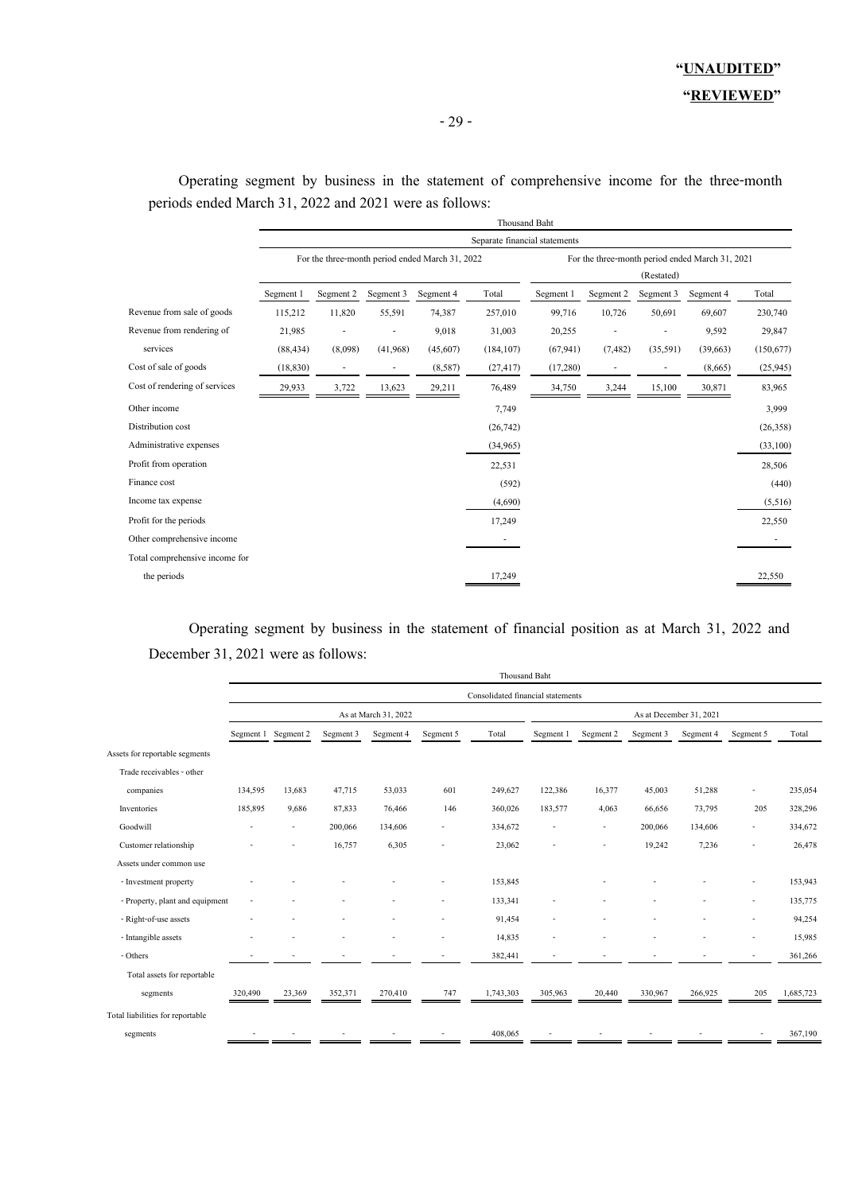|                                |           |                                                 |           |           | <b>Thousand Baht</b>          |           |                              |                          |                                                 |            |
|--------------------------------|-----------|-------------------------------------------------|-----------|-----------|-------------------------------|-----------|------------------------------|--------------------------|-------------------------------------------------|------------|
|                                |           |                                                 |           |           | Separate financial statements |           |                              |                          |                                                 |            |
|                                |           | For the three-month period ended March 31, 2022 |           |           |                               |           |                              |                          | For the three-month period ended March 31, 2021 |            |
|                                |           |                                                 |           |           |                               |           |                              | (Restated)               |                                                 |            |
|                                | Segment 1 | Segment 2                                       | Segment 3 | Segment 4 | Total                         | Segment 1 | Segment 2                    | Segment 3                | Segment 4                                       | Total      |
| Revenue from sale of goods     | 115,212   | 11,820                                          | 55,591    | 74,387    | 257,010                       | 99,716    | 10,726                       | 50,691                   | 69,607                                          | 230,740    |
| Revenue from rendering of      | 21,985    |                                                 |           | 9,018     | 31,003                        | 20,255    |                              | $\overline{a}$           | 9,592                                           | 29,847     |
| services                       | (88, 434) | (8,098)                                         | (41,968)  | (45,607)  | (184, 107)                    | (67, 941) | (7, 482)                     | (35,591)                 | (39,663)                                        | (150, 677) |
| Cost of sale of goods          | (18, 830) | $\overline{\phantom{a}}$                        |           | (8,587)   | (27, 417)                     | (17,280)  | $\qquad \qquad \blacksquare$ | $\overline{\phantom{a}}$ | (8,665)                                         | (25, 945)  |
| Cost of rendering of services  | 29,933    | 3,722                                           | 13,623    | 29,211    | 76,489                        | 34,750    | 3,244                        | 15,100                   | 30,871                                          | 83,965     |
| Other income                   |           |                                                 |           |           | 7,749                         |           |                              |                          |                                                 | 3,999      |
| Distribution cost              |           |                                                 |           |           | (26, 742)                     |           |                              |                          |                                                 | (26, 358)  |
| Administrative expenses        |           |                                                 |           |           | (34,965)                      |           |                              |                          |                                                 | (33,100)   |
| Profit from operation          |           |                                                 |           |           | 22,531                        |           |                              |                          |                                                 | 28,506     |
| Finance cost                   |           |                                                 |           |           | (592)                         |           |                              |                          |                                                 | (440)      |
| Income tax expense             |           |                                                 |           |           | (4,690)                       |           |                              |                          |                                                 | (5,516)    |
| Profit for the periods         |           |                                                 |           |           | 17,249                        |           |                              |                          |                                                 | 22,550     |
| Other comprehensive income     |           |                                                 |           |           | ٠                             |           |                              |                          |                                                 |            |
| Total comprehensive income for |           |                                                 |           |           |                               |           |                              |                          |                                                 |            |
| the periods                    |           |                                                 |           |           | 17,249                        |           |                              |                          |                                                 | 22,550     |
|                                |           |                                                 |           |           |                               |           |                              |                          |                                                 |            |

Operating segment by business in the statement of comprehensive income for the three-month periods ended March 31, 2022 and 2021 were as follows:

 Operating segment by business in the statement of financial position as at March 31, 2022 and December 31, 2021 were as follows:

|                                  |                                   | <b>Thousand Baht</b> |           |                      |                          |           |                          |                          |           |                         |                          |           |
|----------------------------------|-----------------------------------|----------------------|-----------|----------------------|--------------------------|-----------|--------------------------|--------------------------|-----------|-------------------------|--------------------------|-----------|
|                                  | Consolidated financial statements |                      |           |                      |                          |           |                          |                          |           |                         |                          |           |
|                                  |                                   |                      |           | As at March 31, 2022 |                          |           |                          |                          |           | As at December 31, 2021 |                          |           |
|                                  |                                   | Segment 1 Segment 2  | Segment 3 | Segment 4            | Segment 5                | Total     | Segment 1                | Segment 2                | Segment 3 | Segment 4               | Segment 5                | Total     |
| Assets for reportable segments   |                                   |                      |           |                      |                          |           |                          |                          |           |                         |                          |           |
| Trade receivables - other        |                                   |                      |           |                      |                          |           |                          |                          |           |                         |                          |           |
| companies                        | 134,595                           | 13,683               | 47,715    | 53,033               | 601                      | 249,627   | 122,386                  | 16,377                   | 45,003    | 51,288                  | $\overline{a}$           | 235,054   |
| Inventories                      | 185,895                           | 9,686                | 87,833    | 76,466               | 146                      | 360,026   | 183,577                  | 4,063                    | 66,656    | 73,795                  | 205                      | 328,296   |
| Goodwill                         |                                   | $\sim$               | 200,066   | 134,606              | ٠                        | 334,672   | $\overline{a}$           | $\overline{\phantom{a}}$ | 200,066   | 134,606                 | $\overline{\phantom{a}}$ | 334,672   |
| Customer relationship            |                                   |                      | 16,757    | 6,305                |                          | 23,062    | ÷                        | $\overline{a}$           | 19,242    | 7,236                   | $\overline{a}$           | 26,478    |
| Assets under common use          |                                   |                      |           |                      |                          |           |                          |                          |           |                         |                          |           |
| - Investment property            |                                   |                      |           |                      |                          | 153,845   |                          |                          |           |                         | $\overline{\phantom{a}}$ | 153,943   |
| - Property, plant and equipment  |                                   |                      |           |                      | $\overline{\phantom{0}}$ | 133,341   |                          |                          |           |                         | $\overline{\phantom{a}}$ | 135,775   |
| - Right-of-use assets            |                                   |                      |           |                      |                          | 91,454    |                          |                          |           |                         | $\overline{a}$           | 94,254    |
| - Intangible assets              |                                   |                      |           |                      |                          | 14,835    |                          |                          |           |                         |                          | 15,985    |
| - Others                         |                                   |                      |           |                      |                          | 382,441   | $\overline{\phantom{a}}$ |                          |           |                         |                          | 361,266   |
| Total assets for reportable      |                                   |                      |           |                      |                          |           |                          |                          |           |                         |                          |           |
| segments                         | 320,490                           | 23,369               | 352,371   | 270,410              | 747                      | 1,743,303 | 305,963                  | 20,440                   | 330,967   | 266,925                 | 205                      | 1,685,723 |
| Total liabilities for reportable |                                   |                      |           |                      |                          |           |                          |                          |           |                         |                          |           |
| segments                         |                                   |                      |           |                      |                          | 408,065   |                          |                          |           |                         |                          | 367,190   |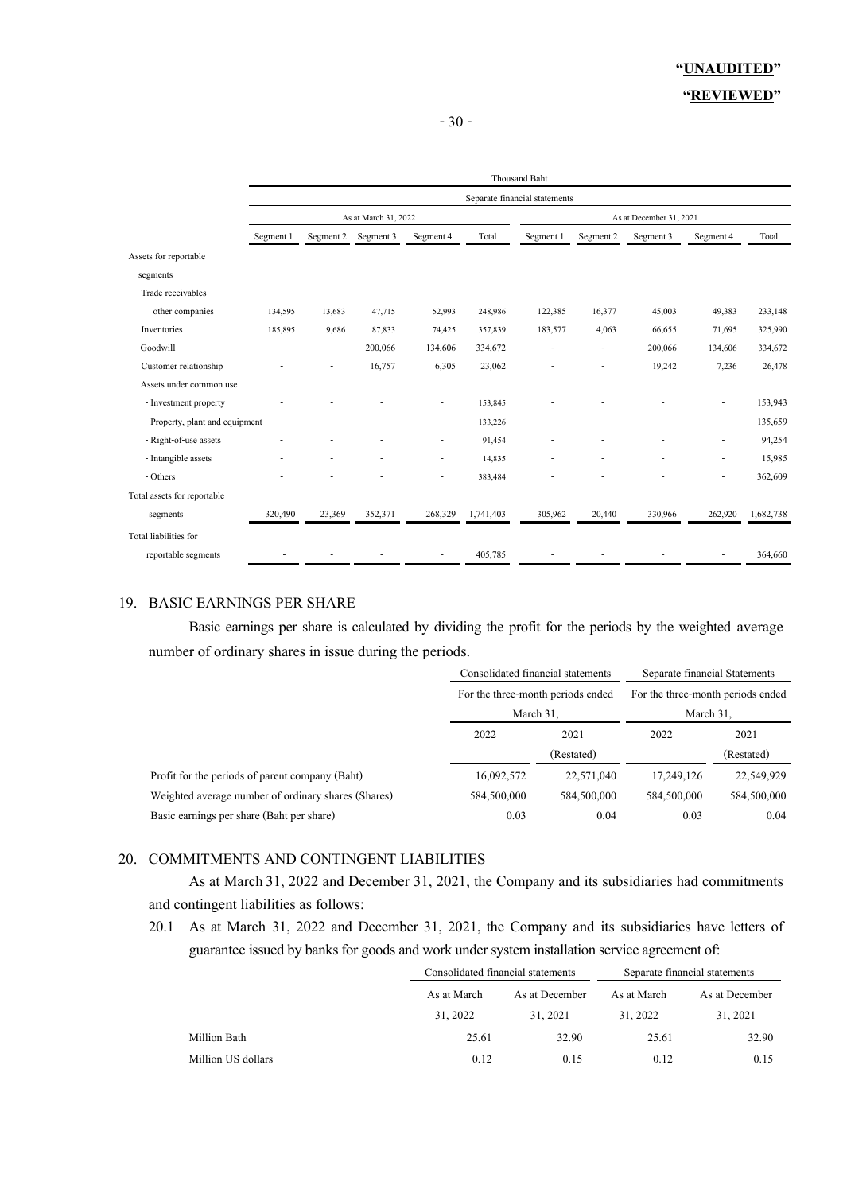### **"UNAUDITED" "REVIEWED"**

|                                 |                               |               |                      |                          |           | <b>Thousand Baht</b> |           |                         |                          |           |  |
|---------------------------------|-------------------------------|---------------|----------------------|--------------------------|-----------|----------------------|-----------|-------------------------|--------------------------|-----------|--|
|                                 | Separate financial statements |               |                      |                          |           |                      |           |                         |                          |           |  |
|                                 |                               |               | As at March 31, 2022 |                          |           |                      |           | As at December 31, 2021 |                          |           |  |
|                                 | Segment 1                     | Segment 2     | Segment 3            | Segment 4                | Total     | Segment 1            | Segment 2 | Segment 3               | Segment 4                | Total     |  |
| Assets for reportable           |                               |               |                      |                          |           |                      |           |                         |                          |           |  |
| segments                        |                               |               |                      |                          |           |                      |           |                         |                          |           |  |
| Trade receivables -             |                               |               |                      |                          |           |                      |           |                         |                          |           |  |
| other companies                 | 134,595                       | 13,683        | 47,715               | 52,993                   | 248,986   | 122,385              | 16,377    | 45,003                  | 49,383                   | 233,148   |  |
| Inventories                     | 185,895                       | 9,686         | 87,833               | 74,425                   | 357,839   | 183,577              | 4,063     | 66,655                  | 71,695                   | 325,990   |  |
| Goodwill                        |                               | $\frac{1}{2}$ | 200,066              | 134,606                  | 334,672   |                      |           | 200,066                 | 134,606                  | 334,672   |  |
| Customer relationship           |                               |               | 16,757               | 6,305                    | 23,062    |                      |           | 19,242                  | 7,236                    | 26,478    |  |
| Assets under common use         |                               |               |                      |                          |           |                      |           |                         |                          |           |  |
| - Investment property           |                               |               |                      | $\sim$                   | 153,845   |                      |           |                         | $\overline{\phantom{a}}$ | 153,943   |  |
| - Property, plant and equipment | ٠                             |               |                      | ٠                        | 133,226   |                      |           |                         | $\blacksquare$           | 135,659   |  |
| - Right-of-use assets           |                               |               |                      | ٠                        | 91,454    |                      |           |                         | ٠                        | 94,254    |  |
| - Intangible assets             |                               | ٠             |                      | $\sim$                   | 14,835    |                      |           |                         | ٠                        | 15,985    |  |
| - Others                        |                               | ٠             | ٠                    | $\overline{\phantom{a}}$ | 383,484   | ٠                    |           |                         | $\overline{\phantom{a}}$ | 362,609   |  |
| Total assets for reportable     |                               |               |                      |                          |           |                      |           |                         |                          |           |  |
| segments                        | 320,490                       | 23,369        | 352,371              | 268,329                  | 1,741,403 | 305,962              | 20,440    | 330,966                 | 262,920                  | 1,682,738 |  |
| <b>Total liabilities for</b>    |                               |               |                      |                          |           |                      |           |                         |                          |           |  |
| reportable segments             |                               |               |                      |                          | 405,785   |                      |           |                         |                          | 364,660   |  |

#### 19. BASIC EARNINGS PER SHARE

 Basic earnings per share is calculated by dividing the profit for the periods by the weighted average number of ordinary shares in issue during the periods.

|                                                     | Consolidated financial statements<br>For the three-month periods ended |             | Separate financial Statements<br>For the three-month periods ended |             |  |
|-----------------------------------------------------|------------------------------------------------------------------------|-------------|--------------------------------------------------------------------|-------------|--|
|                                                     |                                                                        |             |                                                                    |             |  |
|                                                     | March 31,                                                              |             | March 31.                                                          |             |  |
|                                                     | 2022                                                                   | 2021        | 2022                                                               | 2021        |  |
|                                                     |                                                                        | (Restated)  |                                                                    | (Restated)  |  |
| Profit for the periods of parent company (Baht)     | 16,092,572                                                             | 22,571,040  | 17,249,126                                                         | 22,549,929  |  |
| Weighted average number of ordinary shares (Shares) | 584,500,000                                                            | 584,500,000 | 584,500,000                                                        | 584,500,000 |  |
| Basic earnings per share (Baht per share)           | 0.03                                                                   | 0.04        | 0.03                                                               | 0.04        |  |

#### 20. COMMITMENTS AND CONTINGENT LIABILITIES

 As at March31, 2022 and December 31, 2021, the Company and its subsidiaries had commitments and contingent liabilities as follows:

20.1 As at March 31, 2022 and December 31, 2021, the Company and its subsidiaries have letters of guarantee issued by banks for goods and work under system installation service agreement of:

|                    | Consolidated financial statements |                | Separate financial statements |                |  |
|--------------------|-----------------------------------|----------------|-------------------------------|----------------|--|
|                    | As at March                       | As at December | As at March                   | As at December |  |
|                    | 31, 2022                          | 31, 2021       | 31, 2022                      | 31, 2021       |  |
| Million Bath       | 25.61                             | 32.90          | 25.61                         | 32.90          |  |
| Million US dollars | 0.12                              | 0.15           | 0.12                          | 0.15           |  |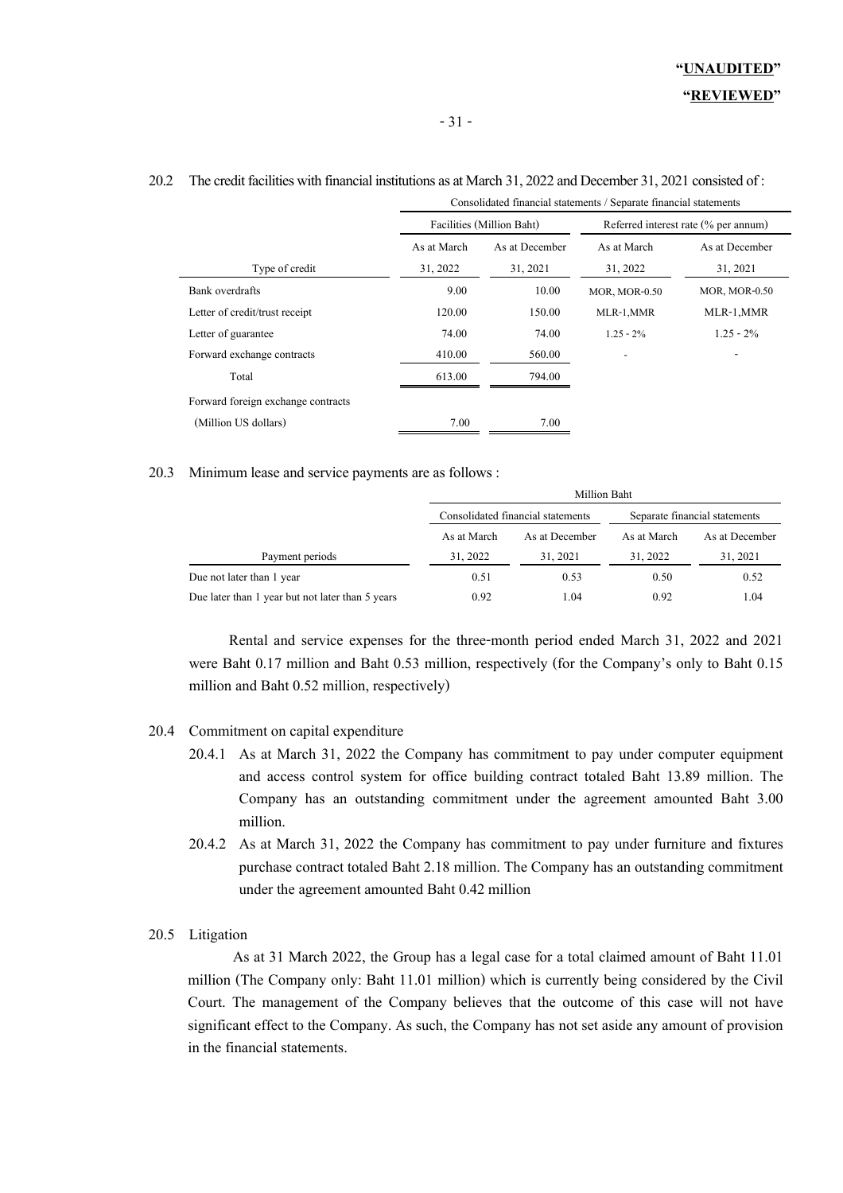|                                    | Consolidated financial statements / Separate financial statements |                           |                                      |                      |  |  |  |  |  |  |
|------------------------------------|-------------------------------------------------------------------|---------------------------|--------------------------------------|----------------------|--|--|--|--|--|--|
|                                    |                                                                   | Facilities (Million Baht) | Referred interest rate (% per annum) |                      |  |  |  |  |  |  |
|                                    | As at March                                                       | As at December            | As at March                          | As at December       |  |  |  |  |  |  |
| Type of credit                     | 31, 2022                                                          | 31, 2021                  | 31, 2022                             | 31, 2021             |  |  |  |  |  |  |
| Bank overdrafts                    | 9.00                                                              | 10.00                     | <b>MOR, MOR-0.50</b>                 | <b>MOR, MOR-0.50</b> |  |  |  |  |  |  |
| Letter of credit/trust receipt     | 120.00                                                            | 150.00                    | MLR-1, MMR                           | MLR-1,MMR            |  |  |  |  |  |  |
| Letter of guarantee                | 74.00                                                             | 74.00                     | $1.25 - 2\%$                         | $1.25 - 2\%$         |  |  |  |  |  |  |
| Forward exchange contracts         | 410.00                                                            | 560.00                    |                                      |                      |  |  |  |  |  |  |
| Total                              | 613.00                                                            | 794.00                    |                                      |                      |  |  |  |  |  |  |
| Forward foreign exchange contracts |                                                                   |                           |                                      |                      |  |  |  |  |  |  |
| (Million US dollars)               | 7.00                                                              | 7.00                      |                                      |                      |  |  |  |  |  |  |

#### 20.2 The credit facilities with financial institutions as at March 31, 2022 and December 31, 2021 consisted of :

#### 20.3 Minimum lease and service payments are as follows :

|                                                  | Million Baht |                                   |                               |                |  |  |  |
|--------------------------------------------------|--------------|-----------------------------------|-------------------------------|----------------|--|--|--|
|                                                  |              | Consolidated financial statements | Separate financial statements |                |  |  |  |
|                                                  | As at March  | As at December                    | As at March                   | As at December |  |  |  |
| Payment periods                                  | 31, 2022     | 31, 2021                          | 31, 2022                      | 31, 2021       |  |  |  |
| Due not later than 1 year                        | 0.51         | 0.53                              | 0.50                          | 0.52           |  |  |  |
| Due later than 1 year but not later than 5 years | 0.92         | 1.04                              | 0.92                          | 1.04           |  |  |  |

 Rental and service expenses for the three-month period ended March 31, 2022 and 2021 were Baht 0.17 million and Baht 0.53 million, respectively (for the Company's only to Baht 0.15 million and Baht 0.52 million, respectively)

#### 20.4 Commitment on capital expenditure

- 20.4.1 As at March 31, 2022 the Company has commitment to pay under computer equipment and access control system for office building contract totaled Baht 13.89 million. The Company has an outstanding commitment under the agreement amounted Baht 3.00 million.
- 20.4.2 As at March 31, 2022 the Company has commitment to pay under furniture and fixtures purchase contract totaled Baht 2.18 million. The Company has an outstanding commitment under the agreement amounted Baht 0.42 million

#### 20.5 Litigation

 As at 31 March 2022, the Group has a legal case for a total claimed amount of Baht 11.01 million (The Company only: Baht 11.01 million) which is currently being considered by the Civil Court. The management of the Company believes that the outcome of this case will not have significant effect to the Company. As such, the Company has not set aside any amount of provision in the financial statements.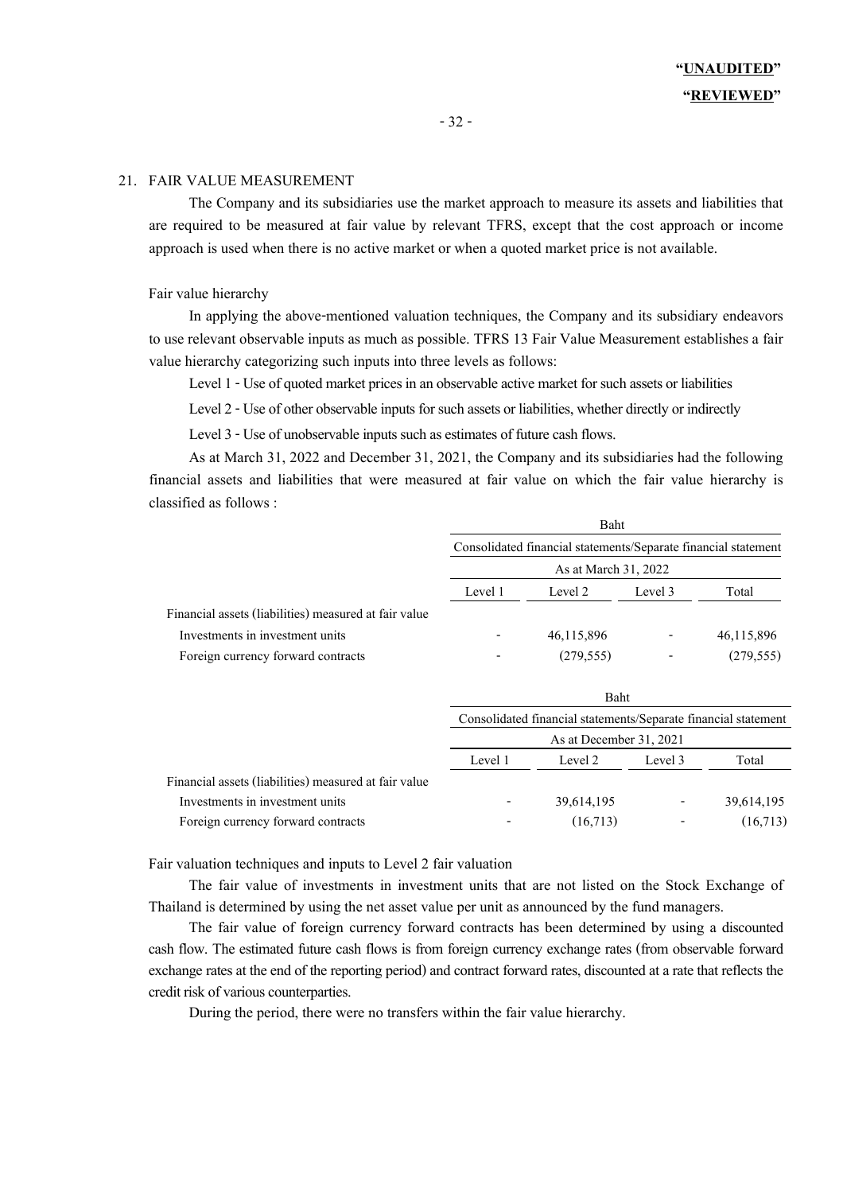#### 21. FAIR VALUE MEASUREMENT

 The Company and its subsidiaries use the market approach to measure its assets and liabilities that are required to be measured at fair value by relevant TFRS, except that the cost approach or income approach is used when there is no active market or when a quoted market price is not available.

#### Fair value hierarchy

 In applying the above-mentioned valuation techniques, the Company and its subsidiary endeavors to use relevant observable inputs as much as possible. TFRS 13 Fair Value Measurement establishes a fair value hierarchy categorizing such inputs into three levels as follows:

Level 1 - Use of quoted market prices in an observable active market for such assets or liabilities

Level 2 - Use of other observable inputs for such assets or liabilities, whether directly or indirectly

Level 3 - Use of unobservable inputs such as estimates of future cash flows.

 As at March 31, 2022 and December 31, 2021, the Company and its subsidiaries had the following financial assets and liabilities that were measured at fair value on which the fair value hierarchy is classified as follows :

| Baht                                                                                   |            |  |            |  |  |         |
|----------------------------------------------------------------------------------------|------------|--|------------|--|--|---------|
| Consolidated financial statements/Separate financial statement<br>As at March 31, 2022 |            |  |            |  |  |         |
|                                                                                        |            |  |            |  |  | Level 1 |
|                                                                                        |            |  |            |  |  |         |
|                                                                                        | 46,115,896 |  | 46,115,896 |  |  |         |
| ۰                                                                                      | (279, 555) |  | (279, 555) |  |  |         |
|                                                                                        |            |  |            |  |  |         |

|                                                       | Baht                                                           |            |         |            |  |  |
|-------------------------------------------------------|----------------------------------------------------------------|------------|---------|------------|--|--|
|                                                       | Consolidated financial statements/Separate financial statement |            |         |            |  |  |
|                                                       | As at December 31, 2021                                        |            |         |            |  |  |
|                                                       | Level 1                                                        | Level 2    | Level 3 | Total      |  |  |
| Financial assets (liabilities) measured at fair value |                                                                |            |         |            |  |  |
| Investments in investment units                       |                                                                | 39,614,195 |         | 39,614,195 |  |  |
| Foreign currency forward contracts                    |                                                                | (16,713)   |         | (16,713)   |  |  |

Fair valuation techniques and inputs to Level 2 fair valuation

 The fair value of investments in investment units that are not listed on the Stock Exchange of Thailand is determined by using the net asset value per unit as announced by the fund managers.

 The fair value of foreign currency forward contracts has been determined by using a discounted cash flow. The estimated future cash flows is from foreign currency exchange rates (from observable forward exchange rates at the end of the reporting period) and contract forward rates, discounted at a rate that reflects the credit risk of various counterparties.

During the period, there were no transfers within the fair value hierarchy.